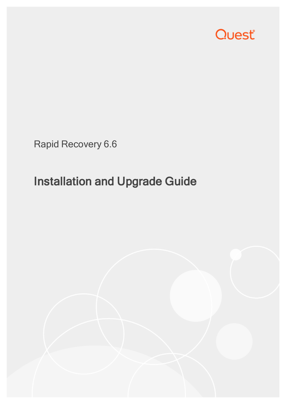

Rapid Recovery 6.6

# Installation and Upgrade Guide

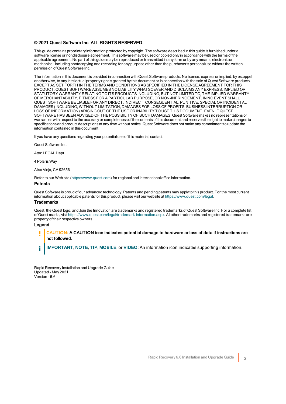#### © 2021 Quest Software Inc. ALL RIGHTS RESERVED.

This guide contains proprietary information protected by copyright. The software described in this guide is furnished under a software license or nondisclosure agreement. This software may be used or copied only in accordance with the terms of the applicable agreement. No part of this guide may be reproduced or transmitted in any form or by any means, electronic or mechanical, including photocopying and recording for any purpose other than the purchaser's personal use without the written permission of Quest Software Inc.

The information in this document is provided in connection with Quest Software products. No license, express or implied, by estoppel or otherwise, to any intellectual property right is granted by this document or in connection with the sale of Quest Software products. EXCEPT AS SET FORTH IN THE TERMS AND CONDITIONS AS SPECIFIED IN THE LICENSE AGREEMENT FOR THIS PRODUCT, QUEST SOFTWARE ASSUMES NO LIABILITY WHATSOEVER AND DISCLAIMS ANY EXPRESS, IMPLIED OR STATUTORY WARRANTY RELATING TO ITS PRODUCTS INCLUDING, BUT NOT LIMITED TO, THE IMPLIED WARRANTY OF MERCHANTABILITY, FITNESS FOR A PARTICULAR PURPOSE, OR NON-INFRINGEMENT. IN NO EVENT SHALL QUEST SOFTWARE BE LIABLE FOR ANY DIRECT, INDIRECT, CONSEQUENTIAL, PUNITIVE, SPECIAL OR INCIDENTAL DAMAGES (INCLUDING, WITHOUT LIMITATION, DAMAGES FOR LOSS OF PROFITS, BUSINESS INTERRUPTION OR LOSS OF INFORMATION) ARISING OUT OF THE USE OR INABILITY TO USE THIS DOCUMENT, EVEN IF QUEST SOFTWARE HAS BEEN ADVISED OF THE POSSIBILITY OF SUCH DAMAGES. Quest Software makes no representations or warranties with respect to the accuracy or completeness of the contents of this document and reserves the right to make changes to specifications and product descriptions at any time without notice. Quest Software does not make any commitment to update the information contained in this document.

If you have any questions regarding your potential use of this material, contact:

Quest Software Inc.

Attn: LEGAL Dept

4 Polaris Way

Aliso Viejo, CA 92656

Refer to our Web site ([https://www.quest.com](https://www.quest.com/)) for regional and international office information.

#### **Patents**

Quest Software is proud of our advanced technology. Patents and pending patents may apply to this product. For the most current information about applicable patents for this product, please visit our website at <https://www.quest.com/legal>.

#### Trademarks

Quest, the Quest logo, and Join the Innovation are trademarks and registered trademarks of Quest Software Inc. For a complete list of Quest marks, visit <https://www.quest.com/legal/trademark-information.aspx>. All other trademarks and registered trademarks are property of their respective owners.

#### Legend

CAUTION: A CAUTION icon indicates potential damage to hardware or loss of data if instructions are ī not followed.

IMPORTANT, NOTE, TIP, MOBILE, or VIDEO: An information icon indicates supporting information. i

Rapid Recovery Installation and Upgrade Guide Updated - May 2021 Version - 6.6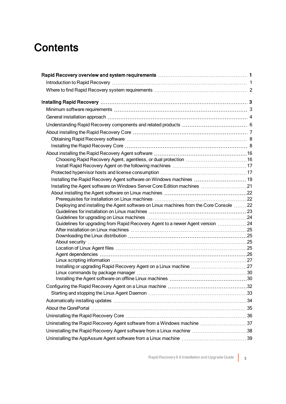### **Contents**

| Installing the Rapid Recovery Agent software on Windows machines  19                    |
|-----------------------------------------------------------------------------------------|
| Installing the Agent software on Windows Server Core Edition machines 21                |
|                                                                                         |
|                                                                                         |
| Deploying and installing the Agent software on Linux machines from the Core Console  22 |
|                                                                                         |
| Guidelines for upgrading from Rapid Recovery Agent to a newer Agent version  24         |
|                                                                                         |
|                                                                                         |
|                                                                                         |
|                                                                                         |
|                                                                                         |
|                                                                                         |
| Installing or upgrading Rapid Recovery Agent on a Linux machine 27                      |
|                                                                                         |
|                                                                                         |
|                                                                                         |
|                                                                                         |
|                                                                                         |
|                                                                                         |
|                                                                                         |
| Uninstalling the Rapid Recovery Agent software from a Windows machine 37                |
| Uninstalling the Rapid Recovery Agent software from a Linux machine 38                  |
|                                                                                         |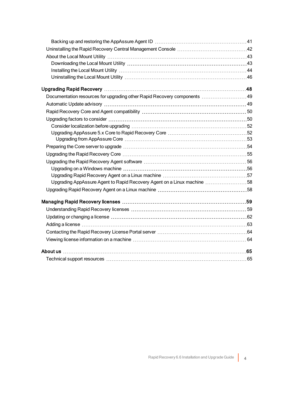| Documentation resources for upgrading other Rapid Recovery components  49 |  |
|---------------------------------------------------------------------------|--|
|                                                                           |  |
|                                                                           |  |
|                                                                           |  |
|                                                                           |  |
|                                                                           |  |
|                                                                           |  |
|                                                                           |  |
|                                                                           |  |
|                                                                           |  |
|                                                                           |  |
|                                                                           |  |
| Upgrading AppAssure Agent to Rapid Recovery Agent on a Linux machine 58   |  |
|                                                                           |  |
|                                                                           |  |
|                                                                           |  |
|                                                                           |  |
|                                                                           |  |
|                                                                           |  |
|                                                                           |  |
|                                                                           |  |
|                                                                           |  |
|                                                                           |  |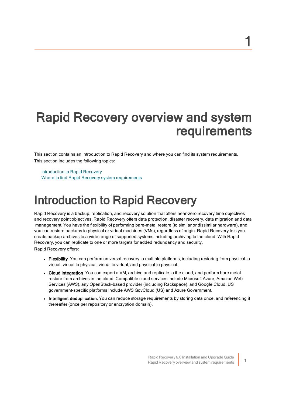# <span id="page-4-0"></span>Rapid Recovery overview and system requirements

This section contains an introduction to Rapid Recovery and where you can find its system requirements. This section includes the following topics:

[Introduction](#page-4-1) to Rapid Recovery Where to find Rapid Recovery system [requirements](#page-5-0)

# <span id="page-4-1"></span>Introduction to Rapid Recovery

Rapid Recovery is a backup, replication, and recovery solution that offers near-zero recovery time objectives and recovery point objectives. Rapid Recovery offers data protection, disaster recovery, data migration and data management. You have the flexibility of performing bare-metal restore (to similar or dissimilar hardware), and you can restore backups to physical or virtual machines (VMs), regardless of origin. Rapid Recovery lets you create backup archives to a wide range of supported systems including archiving to the cloud. With Rapid Recovery, you can replicate to one or more targets for added redundancy and security. Rapid Recovery offers:

- Flexibility. You can perform universal recovery to multiple platforms, including restoring from physical to virtual, virtual to physical, virtual to virtual, and physical to physical.
- Cloud integration. You can export a VM, archive and replicate to the cloud, and perform bare metal restore from archives in the cloud. Compatible cloud services include Microsoft Azure, Amazon Web Services (AWS), any OpenStack-based provider (including Rackspace), and Google Cloud. US government-specific platforms include AWS GovCloud (US) and Azure Government.
- Intelligent deduplication. You can reduce storage requirements by storing data once, and referencing it thereafter (once per repository or encryption domain).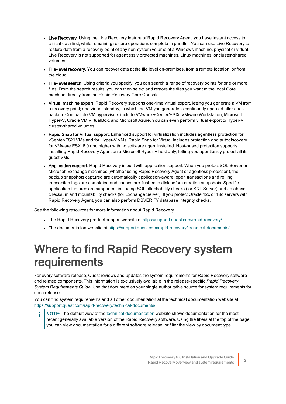- Live Recovery. Using the Live Recovery feature of Rapid Recovery Agent, you have instant access to critical data first, while remaining restore operations complete in parallel. You can use Live Recovery to restore data from a recovery point of any non-system volume of a Windows machine, physical or virtual. Live Recovery is not supported for agentlessly protected machines, Linux machines, or cluster-shared volumes.
- File-level recovery. You can recover data at the file level on-premises, from a remote location, or from the cloud.
- File-level search. Using criteria you specify, you can search a range of recovery points for one or more files. From the search results, you can then select and restore the files you want to the local Core machine directly from the Rapid Recovery Core Console.
- Virtual machine export. Rapid Recovery supports one-time virtual export, letting you generate a VM from a recovery point; and virtual standby, in which the VM you generate is continually updated after each backup. Compatible VM hypervisors include VMware vCenter/ESXi, VMware Workstation, Microsoft Hyper-V, Oracle VM VirtualBox, and Microsoft Azure. You can even perform virtual export to Hyper-V cluster-shared volumes.
- Rapid Snap for Virtual support. Enhanced support for virtualization includes agentless protection for vCenter/ESXi VMs and for Hyper-V VMs. Rapid Snap for Virtual includes protection and autodiscovery for VMware ESXi 6.0 and higher with no software agent installed. Host-based protection supports installing Rapid Recovery Agent on a Microsoft Hyper-V host only, letting you agentlessly protect all its guest VMs.
- Application support. Rapid Recovery is built with application support. When you protect SQL Server or Microsoft Exchange machines (whether using Rapid Recovery Agent or agentless protection), the backup snapshots captured are automatically application-aware; open transactions and rolling transaction logs are completed and caches are flushed to disk before creating snapshots. Specific application features are supported, including SQL attachability checks (for SQL Server) and database checksum and mountability checks (for Exchange Server). If you protect Oracle 12c or 18c servers with Rapid Recovery Agent, you can also perform DBVERIFY database integrity checks.

See the following resources for more information about Rapid Recovery.

- The Rapid Recovery product support website at https://support.quest.com/rapid-recovery/.
- <span id="page-5-0"></span><sup>l</sup> The documentation website at  [https://support.quest.com/rapid-recovery/technical-documents/.](https://support.quest.com/rapid-recovery/technical-documents/)

## Where to find Rapid Recovery system requirements

For every software release, Quest reviews and updates the system requirements for Rapid Recovery software and related components. This information is exclusively available in the release-specific Rapid Recovery System Requirements Guide. Use that document as your single authoritative source for system requirements for each release.

You can find system requirements and all other documentation at the technical documentation website at [https://support.quest.com/rapid-recovery/technical-documents/.](https://support.quest.com/rapid-recovery/technical-documents/)

NOTE: The default view of the technical [documentation](https://support.quest.com/rapid-recovery/technical-documents/) website shows documentation for the most recent generally available version of the Rapid Recovery software. Using the filters at the top of the page, you can view documentation for a different software release, or filter the view by document type.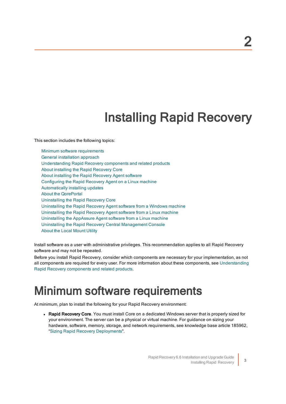# Installing Rapid Recovery

<span id="page-6-0"></span>This section includes the following topics:

Minimum software [requirements](#page-6-1) General [installation](#page-7-0) approach Understanding [Rapid Recovery](#page-9-0) components and related products About installing [the Rapid](#page-10-0) Recovery Core About installing the Rapid [Recovery](#page-19-0) Agent software Configuring the [Rapid Recovery](#page-35-0) Agent on a Linux machine [Automatically](#page-37-0) installing updates About the [QorePortal](#page-38-0) Uninstalling the [Rapid Recovery](#page-39-0) Core Uninstalling the [Rapid Recovery](#page-40-0) Agent software from a Windows machine Uninstalling the [Rapid Recovery](#page-41-0) Agent software from a Linux machine Uninstalling [the AppAssure](#page-42-0) Agent software from a Linux machine Uninstalling the [Rapid Recovery](#page-45-0) Central Management Console About the Local Mount Utility

Install software as a user with administrative privileges. This recommendation applies to all Rapid Recovery software and may not be repeated.

Before you install Rapid Recovery, consider which components are necessary for your implementation, as not all components are required for every user. For more information about these components, see  [Understanding](#page-9-0) [Rapid Recovery](#page-9-0) components and related products.

# <span id="page-6-1"></span>Minimum software requirements

At minimum, plan to install the following for your Rapid Recovery environment:

• Rapid Recovery Core. You must install Core on a dedicated Windows server that is properly sized for your environment. The server can be a physical or virtual machine. For guidance on sizing your hardware, software, memory, storage, and network requirements, see knowledge base article 185962, "Sizing Rapid Recovery [Deployments](https://support.quest.com/rapid-recovery/kb/185962)".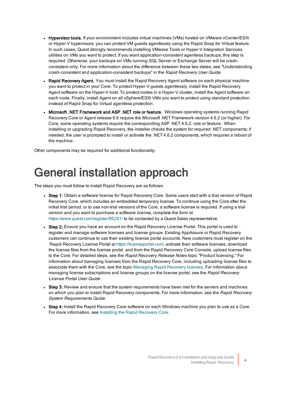- Hypervisor tools. If your environment includes virtual machines (VMs) hosted on VMware vCenter/ESXi or Hyper-V hypervisors, you can protect VM guests agentlessly using the Rapid Snap for Virtual feature. In such cases, Quest strongly recommends installing VMware Tools or Hyper-V Integration Services utilities on VMs you want to protect. If you want application-consistent agentless backups, this step is required. Otherwise, your backups on VMs running SQL Server or Exchange Server will be crashconsistent only. For more information about the difference between these two states, see "Understanding crash-consistent and application-consistent backups" in the Rapid Recovery User Guide.
- Rapid Recovery Agent. You must install the Rapid Recovery Agent software on each physical machine you want to protect in your Core. To protect Hyper-V guests agentlessly, install the Rapid Recovery Agent software on the Hyper-V host. To protect nodes in a Hyper-V cluster, install the Agent software on each node. Finally, install Agent on all vSphere/ESXi VMs you want to protect using standard protection instead of Rapid Snap for Virtual agentless protection.
- Microsoft .NET Framework and ASP .NET role or feature. Windows operating systems running Rapid Recovery Core or Agent release 6.6 require the Microsoft .NET Framework version 4.6.2 (or higher). For Core, some operating systems require the corresponding ASP .NET 4.6.2. role or feature . When installing or upgrading Rapid Recovery, the installer checks the system for required .NET components; if needed, the user is prompted to install or activate the .NET 4.6.2 components, which requires a reboot of the machine.

<span id="page-7-0"></span>Other components may be required for additional functionality.

# General installation approach

The steps you must follow to install Rapid Recovery are as follows:

- Step 1: Obtain a software license for Rapid Recovery Core. Some users start with a trial version of Rapid Recovery Core, which includes an embedded temporary license. To continue using the Core after the initial trial period, or to use non-trial versions of the Core, a software license is required. If using a trial version and you want to purchase a software license, complete the form at <https://www.quest.com/register/95291/> to be contacted by a Quest Sales representative.
- Step 2: Ensure you have an account on the Rapid Recovery License Portal. This portal is used to register and manage software licenses and license groups. Existing AppAssure or Rapid Recovery customers can continue to use their existing license portal accounts. New customers must register on the Rapid Recovery License Portal at [https://licenseportal.com](https://licenseportal.com/), activate their software licenses, download the license files from the license portal, and from the Rapid Recovery Core Console, upload license files to the Core. For detailed steps, see the Rapid Recovery Release Notes topic "Product licensing." For information about managing licenses from the Rapid Recovery Core, including uploading license files to associate them with the Core, see the topic [Managing](#page-62-0) Rapid Recovery licenses. For information about managing license subscriptions and license groups on the license portal, see the Rapid Recovery License Portal User Guide .
- Step 3: Review and ensure that the system requirements have been met for the servers and machines on which you plan to install Rapid Recovery components. For more information, see the Rapid Recovery System Requirements Guide.
- Step 4: Install the Rapid Recovery Core software on each Windows machine you plan to use as a Core. For more information, see Installing the Rapid [Recovery](#page-11-1) Core.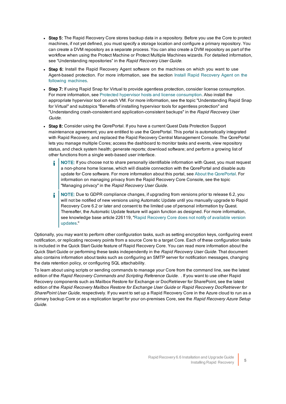- Step 5: The Rapid Recovery Core stores backup data in a repository. Before you use the Core to protect machines, if not yet defined, you must specify a storage location and configure a primary repository. You can create a DVM repository as a separate process. You can also create a DVM repository as part of the workflow when using the Protect Machine or Protect Multiple Machines wizards. For detailed information, see "Understanding repositories" in the Rapid Recovery User Guide.
- Step 6: Install the Rapid Recovery Agent software on the machines on which you want to use Agent-based protection. For more information, see the section Install Rapid Recovery Agent on the following machines.
- Step 7: If using Rapid Snap for Virtual to provide agentless protection, consider license consumption. For more information, see Protected hypervisor hosts and license [consumption](#page-20-1). Also install the appropriate hypervisor tool on each VM. For more information, see the topic "Understanding Rapid Snap for Virtual" and subtopics "Benefits of installing hypervisor tools for agentless protection" and "Understanding crash-consistent and application-consistent backups" in the Rapid Recovery User Guide.
- Step 8: Consider using the QorePortal. If you have a current Quest Data Protection Support maintenance agreement, you are entitled to use the QorePortal. This portal is automatically integrated with Rapid Recovery, and replaced the Rapid Recovery Central Management Console. The QorePortal lets you manage multiple Cores; access the dashboard to monitor tasks and events, view repository status, and check system health; generate reports; download software; and perform a growing list of other functions from a single web-based user interface.
	- NOTE: If you choose not to share personally identifiable information with Quest, you must request ÷ a non-phone home license, which will disable connection with the QorePortal and disable auto update for Core software. For more information about this portal, see About the [QorePortal](#page-38-0). For information on managing privacy from the Rapid Recovery Core Console, see the topic "Managing privacy" in the Rapid Recovery User Guide.
	- NOTE: Due to GDPR compliance changes, if upgrading from versions prior to release 6.2, you f. will not be notified of new versions using Automatic Update until you manually upgrade to Rapid Recovery Core 6.2 or later and consent to the limited use of personal information by Quest. Thereafter, the Automatic Update feature will again function as designed. For more information, see knowledge base article 226119, "Rapid [Recovery](https://support.quest.com/rapid-recovery/kb/226119/rapid-recovery-core-does-not-notify-of-available-version-updates) Core does not notify of available version [updates.](https://support.quest.com/rapid-recovery/kb/226119/rapid-recovery-core-does-not-notify-of-available-version-updates)"

Optionally, you may want to perform other configuration tasks, such as setting encryption keys, configuring event notification, or replicating recovery points from a source Core to a target Core. Each of these configuration tasks is included in the Quick Start Guide feature of Rapid Recovery Core. You can read more information about the Quick Start Guide or performing these tasks independently in the Rapid Recovery User Guide. That document also contains information about tasks such as configuring an SMTP server for notification messages, changing the data retention policy, or configuring SQL attachability.

To learn about using scripts or sending commands to manage your Core from the command line, see the latest edition of the Rapid Recovery Commands and Scripting Reference Guide. . If you want to use other Rapid Recovery components such as Mailbox Restore for Exchange or DocRetriever for SharePoint, see the latest edition of the Rapid Recovery Mailbox Restore for Exchange User Guide or Rapid Recovery DocRetriever for SharePoint User Guide, respectively. If you want to set up a Rapid Recovery Core in the Azure cloud to run as a primary backup Core or as a replication target for your on-premises Core, see the Rapid Recovery Azure Setup Guide.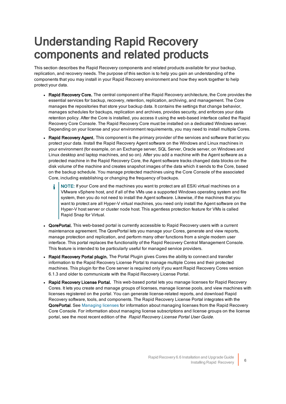## <span id="page-9-0"></span>Understanding Rapid Recovery components and related products

This section describes the Rapid Recovery components and related products available for your backup, replication, and recovery needs. The purpose of this section is to help you gain an understanding of the components that you may install in your Rapid Recovery environment and how they work together to help protect your data.

- Rapid Recovery Core. The central component of the Rapid Recovery architecture, the Core provides the essential services for backup, recovery, retention, replication, archiving, and management. The Core manages the repositories that store your backup data. It contains the settings that change behavior, manages schedules for backups, replication and archives, provides security, and enforces your data retention policy. After the Core is installed, you access it using the web-based interface called the Rapid Recovery Core Console. The Rapid Recovery Core must be installed on a dedicated Windows server. Depending on your license and your environment requirements, you may need to install multiple Cores.
- Rapid Recovery Agent. This component is the primary provider of the services and software that let you protect your data. Install the Rapid Recovery Agent software on the Windows and Linux machines in your environment (for example, on an Exchange server, SQL Server, Oracle server, on Windows and Linux desktop and laptop machines, and so on). After you add a machine with the Agent software as a protected machine in the Rapid Recovery Core, the Agent software tracks changed data blocks on the disk volume of the machine and creates snapshot images of the data which it sends to the Core, based on the backup schedule. You manage protected machines using the Core Console of the associated Core, including establishing or changing the frequency of backups.
	- NOTE: If your Core and the machines you want to protect are all ESXi virtual machines on a VMware vSphere host, and if all of the VMs use a supported Windows operating system and file system, then you do not need to install the Agent software. Likewise, if the machines that you want to protect are all Hyper-V virtual machines, you need only install the Agent software on the Hyper-V host server or cluster node host. This agentless protection feature for VMs is called Rapid Snap for Virtual.
- QorePortal. This web-based portal is currently accessible to Rapid Recovery users with a current maintenance agreement. The QorePortal lets you manage your Cores, generate and view reports, manage protection and replication, and perform many other functions from a single modern user interface. This portal replaces the functionality of the Rapid Recovery Central Management Console. This feature is intended to be particularly useful for managed service providers.
- Rapid Recovery Portal plugin. The Portal Plugin gives Cores the ability to connect and transfer information to the Rapid Recovery License Portal to manage multiple Cores and their protected machines. This plugin for the Core server is required only if you want Rapid Recovery Cores version 6.1.3 and older to communicate with the Rapid Recovery License Portal.
- Rapid Recovery License Portal. This web-based portal lets you manage licenses for Rapid Recovery Cores. It lets you create and manage groups of licenses, manage license pools, and view machines with licenses registered on the portal. You can generate license-related reports, and download Rapid Recovery software, tools, and components. The Rapid Recovery License Portal integrates with the QorePortal. See Managing licenses for information about managing licenses from the Rapid Recovery Core Console. For information about managing license subscriptions and license groups on the license portal, see the most recent edition of the Rapid Recovery License Portal User Guide.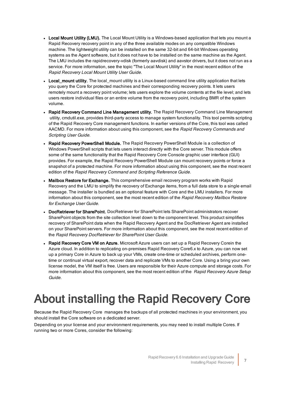- Local Mount Utility (LMU). The Local Mount Utility is a Windows-based application that lets you mount a Rapid Recovery recovery point in any of the three available modes on any compatible Windows machine. The lightweight utility can be installed on the same 32-bit and 64-bit Windows operating systems as the Agent software, but it does not have to be installed on the same machine as the Agent. The LMU includes the rapidrecovery-vdisk (formerly aavdisk) and aavstor drivers, but it does not run as a service. For more information, see the topic "The Local Mount Utility" in the most recent edition of the Rapid Recovery Local Mount Utility User Guide.
- Local mount utility. The local mount utility is a Linux-based command line utility application that lets you query the Core for protected machines and their corresponding recovery points. It lets users remotely mount a recovery point volume; lets users explore the volume contents at the file level; and lets users restore individual files or an entire volume from the recovery point, including BMR of the system volume.
- Rapid Recovery Command Line Management utility. The Rapid Recovery Command Line Management utility, cmdutil.exe, provides third-party access to manage system functionality. This tool permits scripting of the Rapid Recovery Core management functions. In earlier versions of the Core, this tool was called AACMD. For more information about using this component, see the Rapid Recovery Commands and Scripting User Guide.
- Rapid Recovery PowerShell Module. The Rapid Recovery PowerShell Module is a collection of Windows PowerShell scripts that lets users interact directly with the Core server. This module offers some of the same functionality that the Rapid Recovery Core Console graphic user interface (GUI) provides. For example, the Rapid Recovery PowerShell Module can mount recovery points or force a snapshot of a protected machine. For more information about using this component, see the most recent edition of the Rapid Recovery Command and Scripting Reference Guide.
- Mailbox Restore for Exchange. This comprehensive email recovery program works with Rapid Recovery and the LMU to simplify the recovery of Exchange items, from a full data store to a single email message. The installer is bundled as an optional feature with Core and the LMU installers. For more information about this component, see the most recent edition of the Rapid Recovery Mailbox Restore for Exchange User Guide.
- DocRetriever for SharePoint. DocRetriever for SharePoint lets SharePoint administrators recover SharePoint objects from the site collection level down to the component level. This product simplifies recovery of SharePoint data when the Rapid Recovery Agent and the DocRetriever Agent are installed on your SharePoint servers. For more information about this component, see the most recent edition of the Rapid Recovery DocRetriever for SharePoint User Guide.
- Rapid Recovery Core VM on Azure. Microsoft Azure users can set up a Rapid Recovery Corein the Azure cloud. In addition to replicating on-premises Rapid Recovery Core6.x to Azure, you can now set up a primary Core in Azure to back up your VMs, create one-time or scheduled archives, perform onetime or continual virtual export, recover data and replicate VMs to another Core. Using a bring your own license model, the VM itself is free. Users are responsible for their Azure compute and storage costs. For more information about this component, see the most recent edition of the Rapid Recovery Azure Setup Guide.

# <span id="page-10-0"></span>About installing the Rapid Recovery Core

Because the Rapid Recovery Core manages the backups of all protected machines in your environment, you should install the Core software on a dedicated server.

Depending on your license and your environment requirements, you may need to install multiple Cores. If running two or more Cores, consider the following: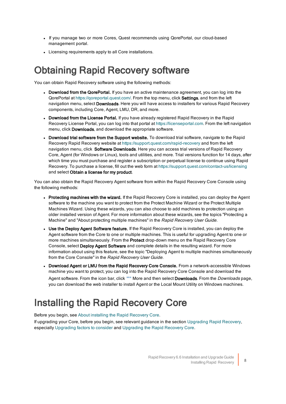- If you manage two or more Cores, Quest recommends using QorePortal, our cloud-based management portal.
- <span id="page-11-0"></span>• Licensing requirements apply to all Core installations.

### **Obtaining Rapid Recovery software**

You can obtain Rapid Recovery software using the following methods:

- Download from the QorePortal. If you have an active maintenance agreement, you can log into the QorePortal at https://goreportal.quest.com/. From the top menu, click Settings, and from the left navigation menu, select Downloads. Here you will have access to installers for various Rapid Recovery components, including Core, Agent, LMU, DR, and more.
- Download from the License Portal. If you have already registered Rapid Recovery in the Rapid Recovery License Portal, you can log into that portal at  [https://licenseportal.com](https://licenseportal.com/). From the left navigation menu, click Downloads, and download the appropriate software.
- Download trial software from the Support website. To download trial software, navigate to the Rapid Recovery Rapid Recovery website at<https://support.quest.com/rapid-recovery> and from the left navigation menu, click Software Downloads. Here you can access trial versions of Rapid Recovery Core, Agent (for Windows or Linux), tools and utilities, and more. Trial versions function for 14 days, after which time you must purchase and register a subscription or perpetual license to continue using Rapid Recovery. To purchase a license, fill out the web form at<https://support.quest.com/contact-us/licensing> and select Obtain a license for my product.

You can also obtain the Rapid Recovery Agent software from within the Rapid Recovery Core Console using the following methods:

- Protecting machines with the wizard. If the Rapid Recovery Core is installed, you can deploy the Agent software to the machine you want to protect from the Protect Machine Wizard or the Protect Multiple Machines Wizard. Using these wizards, you can also choose to add machines to protection using an older installed version of Agent. For more information about these wizards, see the topics "Protecting a Machine" and "About protecting multiple machines" in the Rapid Recovery User Guide.
- Use the Deploy Agent Software feature. If the Rapid Recovery Core is installed, you can deploy the Agent software from the Core to one or multiple machines. This is useful for upgrading Agent to one or more machines simultaneously. From the Protect drop-down menu on the Rapid Recovery Core Console, select **Deploy Agent Software** and complete details in the resulting wizard. For more information about using this feature, see the topic "Deploying Agent to multiple machines simultaneously from the Core Console" in the Rapid Recovery User Guide.
- Download Agent or LMU from the Rapid Recovery Core Console. From a network-accessible Windows machine you want to protect, you can log into the Rapid Recovery Core Console and download the Agent software. From the icon bar, click **\*\*\*** More and then select **Downloads**. From the *Downloads* page, you can download the web installer to install Agent or the Local Mount Utility on Windows machines.

### <span id="page-11-1"></span>Installing the Rapid Recovery Core

Before you begin, see About installing [the Rapid](#page-10-0) Recovery Core.

If upgrading your Core, before you begin, see relevant guidance in the section [Upgrading](#page-51-0) Rapid Recovery, especially Upgrading factors to consider and Upgrading the Rapid Recovery Core.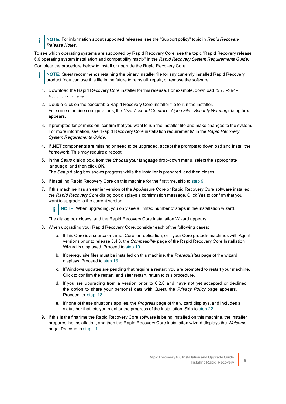NOTE: For information about supported releases, see the "Support policy" topic in Rapid Recovery Release Notes.

To see which operating systems are supported by Rapid Recovery Core, see the topic "Rapid Recovery release 6.6 operating system installation and compatibility matrix" in the Rapid Recovery System Requirements Guide. Complete the procedure below to install or upgrade the Rapid Recovery Core.

- NOTE: Quest recommends retaining the binary installer file for any currently installed Rapid Recovery product. You can use this file in the future to reinstall, repair, or remove the software.
- 1. Download the Rapid Recovery Core installer for this release. For example, download Core-X64-6.5.x.xxxx.exe.
- 2. Double-click on the executable Rapid Recovery Core installer file to run the installer. For some machine configurations, the User Account Control or Open File - Security Warning dialog box appears.
- 3. If prompted for permission, confirm that you want to run the installer file and make changes to the system. For more information, see "Rapid Recovery Core installation requirements" in the Rapid Recovery System Requirements Guide.
- 4. If .NET components are missing or need to be upgraded, accept the prompts to download and install the framework. This may require a reboot.
- 5. In the Setup dialog box, from the Choose your language drop-down menu, select the appropriate language, and then click OK. The Setup dialog box shows progress while the installer is prepared, and then closes.
- 
- 6. If installing Rapid Recovery Core on this machine for the first time, skip to [step](#page-12-0) 9.
- 7. If this machine has an earlier version of the AppAssure Core or Rapid Recovery Core software installed, the Rapid Recovery Core dialog box displays a confirmation message. Click Yes to confirm that you want to upgrade to the current version.

NOTE: When upgrading, you only see a limited number of steps in the installation wizard. i

The dialog box closes, and the Rapid Recovery Core Installation Wizard appears.

- 8. When upgrading your Rapid Recovery Core, consider each of the following cases:
	- a. If this Core is a source or target Core for replication, or if your Core protects machines with Agent versions prior to release 5.4.3, the *Compatibility* page of the Rapid Recovery Core Installation Wizard is displayed. Proceed to [step](#page-13-0) 10.
	- b. If prerequisite files must be installed on this machine, the *Prerequisites* page of the wizard displays. Proceed to [step](#page-13-1) 13.
	- c. If Windows updates are pending that require a restart, you are prompted to restart your machine. Click to confirm the restart, and after restart, return to this procedure.
	- d. If you are upgrading from a version prior to 6.2.0 and have not yet accepted or declined the option to share your personal data with Quest, the Privacy Policy page appears. Proceed to [step](#page-15-0) 18.
	- e. If none of these situations applies, the *Progress* page of the wizard displays, and includes a status bar that lets you monitor the progress of the installation. Skip to [step](#page-17-0) 22.
- <span id="page-12-0"></span>9. If this is the first time the Rapid Recovery Core software is being installed on this machine, the installer prepares the installation, and then the Rapid Recovery Core Installation wizard displays the Welcome page. Proceed to [step](#page-12-0) 11.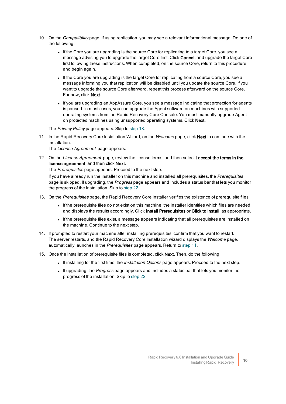- <span id="page-13-0"></span>10. On the Compatibility page, if using replication, you may see a relevant informational message. Do one of the following:
	- If the Core you are upgrading is the source Core for replicating to a target Core, you see a message advising you to upgrade the target Core first. Click **Cancel**, and upgrade the target Core first following these instructions. When completed, on the source Core, return to this procedure and begin again.
	- <sup>l</sup> If the Core you are upgrading is the target Core for replicating from a source Core, you see a message informing you that replication will be disabled until you update the source Core. If you want to upgrade the source Core afterward, repeat this process afterward on the source Core. For now, click **Next**.
	- If you are upgrading an AppAssure Core. you see a message indicating that protection for agents is paused. In most cases, you can upgrade the Agent software on machines with supported operating systems from the Rapid Recovery Core Console. You must manually upgrade Agent on protected machines using unsupported operating systems. Click Next.

<span id="page-13-2"></span>The Privacy Policy page appears. Skip to [step](#page-15-0) 18.

11. In the Rapid Recovery Core Installation Wizard, on the Welcome page, click Next to continue with the installation.

The License Agreement page appears.

12. On the License Agreement page, review the license terms, and then select I accept the terms in the license agreement, and then click Next.

The Prerequisites page appears. Proceed to the next step.

If you have already run the installer on this machine and installed all prerequisites, the Prerequisites page is skipped. If upgrading, the Progress page appears and includes a status bar that lets you monitor the progress of the installation. Skip to [step](#page-17-0) 22.

- <span id="page-13-1"></span>13. On the Prerequisites page, the Rapid Recovery Core installer verifies the existence of prerequisite files.
	- <sup>l</sup> If the prerequisite files do not exist on this machine, the installer identifies which files are needed and displays the results accordingly. Click Install Prerequisites or Click to install, as appropriate.
	- If the prerequisite files exist, a message appears indicating that all prerequisites are installed on the machine. Continue to the next step.
- 14. If prompted to restart your machine after installing prerequisites, confirm that you want to restart. The server restarts, and the Rapid Recovery Core Installation wizard displays the Welcome page. automatically launches in the Prerequisites page appears. Return to [step](#page-13-2) 11.
- 15. Once the installation of prerequisite files is completed, click Next. Then, do the following:
	- If installing for the first time, the *Installation Options* page appears. Proceed to the next step.
	- If upgrading, the Progress page appears and includes a status bar that lets you monitor the progress of the installation. Skip to [step](#page-17-0) 22.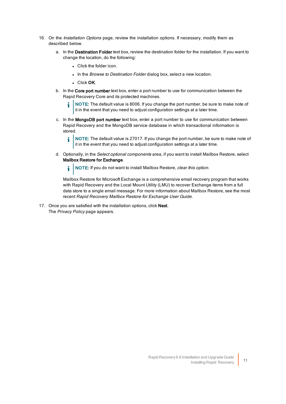- 16. On the Installation Options page, review the installation options. If necessary, modify them as described below.
	- a. In the Destination Folder text box, review the destination folder for the installation. If you want to change the location, do the following:
		- Click the folder icon.
		- . In the Browse to Destination Folder dialog box, select a new location.
		- Click OK.
	- b. In the Core port number text box, enter a port number to use for communication between the Rapid Recovery Core and its protected machines.
		- NOTE: The default value is 8006. If you change the port number, be sure to make note of it in the event that you need to adjust configuration settings at a later time.
	- c. In the MongoDB port number text box, enter a port number to use for communication between Rapid Recovery and the MongoDB service database in which transactional information is stored.
		- i NOTE: The default value is 27017. If you change the port number, be sure to make note of it in the event that you need to adjust configuration settings at a later time.
	- d. Optionally, in the Select optional components area, if you want to install Mailbox Restore, select Mailbox Restore for Exchange.

NOTE: If you do not want to install Mailbox Restore, clear this option. i.

Mailbox Restore for Microsoft Exchange is a comprehensive email recovery program that works with Rapid Recovery and the Local Mount Utility (LMU) to recover Exchange items from a full data store to a single email message. For more information about Mailbox Restore, see the most recent Rapid Recovery Mailbox Restore for Exchange User Guide.

17. Once you are satisfied with the installation options, click Next. The Privacy Policy page appears.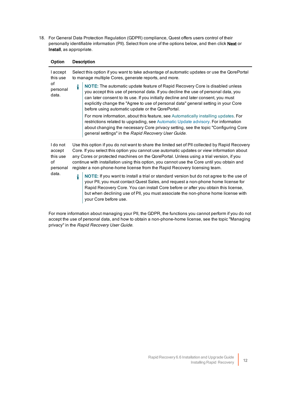<span id="page-15-0"></span>18. For General Data Protection Regulation (GDPR) compliance, Quest offers users control of their personally identifiable information (PII). Select from one of the options below, and then click Next or Install, as appropriate.

| Option                                           | <b>Description</b>                                                                                                                                   |                                                                                                                                                                                                                                                                                                                                                                                                                                                                    |  |  |
|--------------------------------------------------|------------------------------------------------------------------------------------------------------------------------------------------------------|--------------------------------------------------------------------------------------------------------------------------------------------------------------------------------------------------------------------------------------------------------------------------------------------------------------------------------------------------------------------------------------------------------------------------------------------------------------------|--|--|
| laccept<br>this use<br>of<br>personal<br>data.   | Select this option if you want to take advantage of automatic updates or use the QorePortal<br>to manage multiple Cores, generate reports, and more. |                                                                                                                                                                                                                                                                                                                                                                                                                                                                    |  |  |
|                                                  | i                                                                                                                                                    | NOTE: The automatic update feature of Rapid Recovery Core is disabled unless<br>you accept this use of personal data. If you decline the use of personal data, you<br>can later consent to its use. If you initially decline and later consent, you must<br>explicitly change the "Agree to use of personal data" general setting in your Core<br>before using automatic update or the QorePortal.                                                                 |  |  |
|                                                  |                                                                                                                                                      | For more information, about this feature, see Automatically installing updates. For<br>restrictions related to upgrading, see Automatic Update advisory. For information<br>about changing the necessary Core privacy setting, see the topic "Configuring Core<br>general settings" in the Rapid Recovery User Guide.                                                                                                                                              |  |  |
| I do not<br>accept<br>this use<br>οf<br>personal |                                                                                                                                                      | Use this option if you do not want to share the limited set of PII collected by Rapid Recovery<br>Core. If you select this option you cannot use automatic updates or view information about<br>any Cores or protected machines on the QorePortal. Unless using a trial version, if you<br>continue with installation using this option, you cannot use the Core until you obtain and<br>register a non-phone-home license from the Rapid Recovery licensing team. |  |  |
| data.                                            | i                                                                                                                                                    | NOTE: If you want to install a trial or standard version but do not agree to the use of<br>your PII, you must contact Quest Sales, and request a non-phone home license for<br>Rapid Recovery Core. You can install Core before or after you obtain this license,<br>but when declining use of PII, you must associate the non-phone home license with<br>your Core before use.                                                                                    |  |  |

For more information about managing your PII, the GDPR, the functions you cannot perform if you do not accept the use of personal data, and how to obtain a non-phone-home license, see the topic "Managing privacy" in the Rapid Recovery User Guide.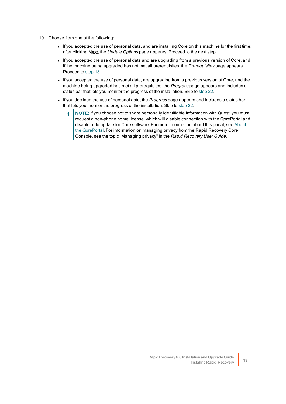- 19. Choose from one of the following:
	- <sup>l</sup> If you accepted the use of personal data, and are installing Core on this machine for the first time, after clicking Next, the Update Options page appears. Proceed to the next step.
	- If you accepted the use of personal data and are upgrading from a previous version of Core, and if the machine being upgraded has not met all prerequisites, the Prerequisites page appears. Proceed to [step](#page-13-1) 13.
	- If you accepted the use of personal data, are upgrading from a previous version of Core, and the machine being upgraded has met all prerequisites, the Progress page appears and includes a status bar that lets you monitor the progress of the installation. Skip to [step](#page-17-0) 22.
	- If you declined the use of personal data, the Progress page appears and includes a status bar that lets you monitor the progress of the installation. Skip to [step](#page-17-0) 22.
		- NOTE: If you choose not to share personally identifiable information with Quest, you must ÷ request a non-phone home license, which will disable connection with the QorePortal and disable auto update for Core software. For more information about this portal, see [About](#page-38-0) the [QorePortal](#page-38-0). For information on managing privacy from the Rapid Recovery Core Console, see the topic "Managing privacy" in the Rapid Recovery User Guide.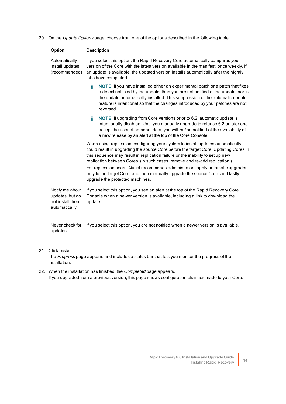20. On the Update Options page, choose from one of the options described in the following table.

| Option                                                                  | <b>Description</b>                                                                                                                                                                                                                                                                       |                                                                                                                                                                                                                                                                                                                                                                                                                                                                                                                                                 |
|-------------------------------------------------------------------------|------------------------------------------------------------------------------------------------------------------------------------------------------------------------------------------------------------------------------------------------------------------------------------------|-------------------------------------------------------------------------------------------------------------------------------------------------------------------------------------------------------------------------------------------------------------------------------------------------------------------------------------------------------------------------------------------------------------------------------------------------------------------------------------------------------------------------------------------------|
| Automatically<br>install updates<br>(recommended)                       | If you select this option, the Rapid Recovery Core automatically compares your<br>version of the Core with the latest version available in the manifest, once weekly. If<br>an update is available, the updated version installs automatically after the nightly<br>jobs have completed. |                                                                                                                                                                                                                                                                                                                                                                                                                                                                                                                                                 |
|                                                                         |                                                                                                                                                                                                                                                                                          | NOTE: If you have installed either an experimental patch or a patch that fixes<br>a defect not fixed by the update, then you are not notified of the update, nor is<br>the update automatically installed. This suppression of the automatic update<br>feature is intentional so that the changes introduced by your patches are not<br>reversed.                                                                                                                                                                                               |
|                                                                         | i                                                                                                                                                                                                                                                                                        | NOTE: If upgrading from Core versions prior to 6.2, automatic update is<br>intentionally disabled. Until you manually upgrade to release 6.2 or later and<br>accept the user of personal data, you will not be notified of the availability of<br>a new release by an alert at the top of the Core Console.                                                                                                                                                                                                                                     |
|                                                                         |                                                                                                                                                                                                                                                                                          | When using replication, configuring your system to install updates automatically<br>could result in upgrading the source Core before the target Core. Updating Cores in<br>this sequence may result in replication failure or the inability to set up new<br>replication between Cores. (In such cases, remove and re-add replication.)<br>For replication users, Quest recommends administrators apply automatic upgrades<br>only to the target Core, and then manually upgrade the source Core, and lastly<br>upgrade the protected machines. |
| Notify me about<br>updates, but do<br>not install them<br>automatically | update.                                                                                                                                                                                                                                                                                  | If you select this option, you see an alert at the top of the Rapid Recovery Core<br>Console when a newer version is available, including a link to download the                                                                                                                                                                                                                                                                                                                                                                                |

Never check for If you select this option, you are not notified when a newer version is available. updates

#### 21. Click Install.

<span id="page-17-0"></span>The Progress page appears and includes a status bar that lets you monitor the progress of the installation.

22. When the installation has finished, the *Completed* page appears. If you upgraded from a previous version, this page shows configuration changes made to your Core.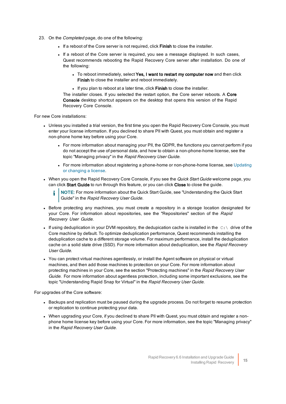- 23. On the *Completed* page, do one of the following:
	- . If a reboot of the Core server is not required, click Finish to close the installer.
	- If a reboot of the Core server is required, you see a message displayed. In such cases, Quest recommends rebooting the Rapid Recovery Core server after installation. Do one of the following:
		- $\bullet$  To reboot immediately, select Yes, I want to restart my computer now and then click Finish to close the installer and reboot immediately.
		- . If you plan to reboot at a later time, click Finish to close the installer.

The installer closes. If you selected the restart option, the Core server reboots. A Core Console desktop shortcut appears on the desktop that opens this version of the Rapid Recovery Core Console.

For new Core installations:

- Unless you installed a trial version, the first time you open the Rapid Recovery Core Console, you must enter your license information. If you declined to share PII with Quest, you must obtain and register a non-phone home key before using your Core.
	- For more information about managing your PII, the GDPR, the functions you cannot perform if you do not accept the use of personal data, and how to obtain a non-phone-home license, see the topic "Managing privacy" in the Rapid Recovery User Guide.
	- For more information about registering a phone-home or non-phone-home license, see Updating or changing a license.
- When you open the Rapid Recovery Core Console, if you see the *Quick Start Guide* welcome page, you can click Start Guide to run through this feature, or you can click Close to close the guide.

NOTE: For more information about the Quick Start Guide, see "Understanding the Quick Start i Guide" in the Rapid Recovery User Guide.

- Before protecting any machines, you must create a repository in a storage location designated for your Core. For information about repositories, see the "Repositories" section of the Rapid Recovery User Guide.
- If using deduplication in your DVM repository, the dedupication cache is installed in the  $C:\ A$  drive of the Core machine by default. To optimize deduplication performance, Quest recommends installing the deduplication cache to a different storage volume. For maximum performance, install the deduplication cache on a solid state drive (SSD). For more information about deduplication, see the Rapid Recovery User Guide.
- You can protect virtual machines agentlessly, or install the Agent software on physical or virtual machines, and then add those machines to protection on your Core. For more information about protecting machines in your Core, see the section "Protecting machines" in the Rapid Recovery User Guide. For more information about agentless protection, including some important exclusions, see the topic "Understanding Rapid Snap for Virtual" in the Rapid Recovery User Guide.

For upgrades of the Core software:

- Backups and replication must be paused during the upgrade process. Do not forget to resume protection or replication to continue protecting your data.
- When upgrading your Core, if you declined to share PII with Quest, you must obtain and register a nonphone home license key before using your Core. For more information, see the topic "Managing privacy" in the Rapid Recovery User Guide.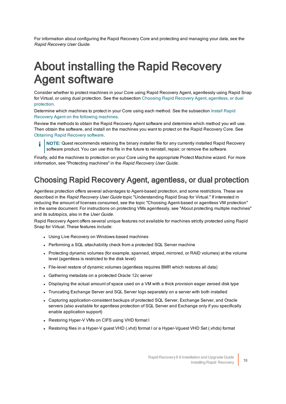<span id="page-19-0"></span>For information about configuring the Rapid Recovery Core and protecting and managing your data, see the Rapid Recovery User Guide.

# About installing the Rapid Recovery Agent software

Consider whether to protect machines in your Core using Rapid Recovery Agent, agentlessly using Rapid Snap for Virtual, or using dual protection. See the subsection Choosing Rapid Recovery Agent, [agentless,](#page-19-1) or dual [protection.](#page-19-1)

Determine which machines to protect in your Core using each method. See the subsection Install [Rapid](#page-20-0) Recovery Agent on the following [machines](#page-20-0).

Review the methods to obtain the Rapid Recovery Agent software and determine which method you will use. Then obtain the software, and install on the machines you want to protect on the Rapid Recovery Core. See Obtaining Rapid Recovery software.

NOTE: Quest recommends retaining the binary installer file for any currently installed Rapid Recovery software product. You can use this file in the future to reinstall, repair, or remove the software.

Finally, add the machines to protection on your Core using the appropriate Protect Machine wizard. For more information, see "Protecting machines" in the Rapid Recovery User Guide.

#### <span id="page-19-1"></span>Choosing Rapid Recovery Agent, agentless, or dual protection

Agentless protection offers several advantages to Agent-based protection, and some restrictions. These are described in the Rapid Recovery User Guide topic "Understanding Rapid Snap for Virtual." If interested in reducing the amount of licenses consumed, see the topic "Choosing Agent-based or agentless VM protection" in the same document. For instructions on protecting VMs agentlessly, see "About protecting multiple machines" and its subtopics, also in the User Guide.

Rapid Recovery Agent offers several unique features not available for machines strictly protected using Rapid Snap for Virtual. These features include:

- Using Live Recovery on Windows-based machines
- Performing a SQL attachability check from a protected SQL Server machine
- Protecting dynamic volumes (for example, spanned, striped, mirrored, or RAID volumes) at the volume level (agentless is restricted to the disk level)
- File-level restore of dynamic volumes (agentless requires BMR which restores all data)
- Gathering metadata on a protected Oracle 12c server
- Displaying the actual amount of space used on a VM with a thick provision eager zeroed disk type
- Truncating Exchange Server and SQL Server logs separately on a server with both installed
- Capturing application-consistent backups of protected SQL Server, Exchange Server, and Oracle servers (also available for agentless protection of SQL Server and Exchange only if you specifically enable application support)
- Restoring Hyper-V VMs on CIFS using VHD format I
- Restoring files in a Hyper-V guest VHD (.vhd) format I or a Hyper-Vguest VHD Set (.vhds) format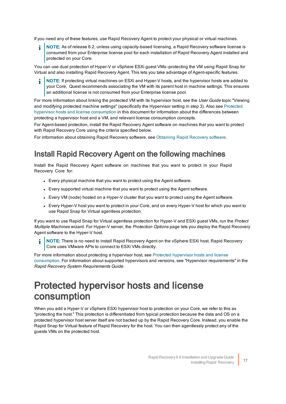If you need any of these features, use Rapid Recovery Agent to protect your physical or virtual machines.

NOTE: As of release 6.2, unless using capacity-based licensing, a Rapid Recovery software license is consumed from your Enterprise license pool for each installation of Rapid Recovery Agent installed and protected on your Core.

You can use dual protection of Hyper-V or vSphere ESXi guest VMs—protecting the VM using Rapid Snap for Virtual and also installing Rapid Recovery Agent. This lets you take advantage of Agent-specific features.

NOTE: If protecting virtual machines on ESXi and Hyper-V hosts, and the hypervisor hosts are added to your Core, Quest recommends associating the VM with its parent host in machine settings. This ensures an additional license is not consumed from your Enterprise license pool.

For more information about linking the protected VM with its hypervisor host, see the User Guide topic "Viewing and modifying protected machine settings" (specifically the Hypervisor setting in step 3). Also see [Protected](#page-20-1) hypervisor hosts and license [consumption](#page-20-1) in this document for information about the differences between protecting a hypervisor host and a VM, and relevant license consumption concepts.

For Agent-based protection, install the Rapid Recovery Agent software on machines that you want to protect with Rapid Recovery Core using the criteria specified below.

<span id="page-20-0"></span>For information about obtaining Rapid Recovery software, see Obtaining [Rapid Recovery](#page-11-0) software.

#### Install Rapid Recovery Agent on the following machines

Install the Rapid Recovery Agent software on machines that you want to protect in your Rapid Recovery Core for:

- Every physical machine that you want to protect using the Agent software.
- Every supported virtual machine that you want to protect using the Agent software.
- Every VM (node) hosted on a Hyper-V cluster that you want to protect using the Agent software.
- Every Hyper-V host you want to protect in your Core, and on every Hyper-V host for which you want to use Rapid Snap for Virtual agentless protection.

If you want to use Rapid Snap for Virtual agentless protection for Hyper-V and ESXi guest VMs, run the Protect Multiple Machines wizard. For Hyper-V server, the Protection Options page lets you deploy the Rapid Recovery Agent software to the Hyper-V host.

NOTE: There is no need to install Rapid Recovery Agent on the vSphere ESXi host. Rapid Recovery Core uses VMware APIs to connect to ESXi VMs directly.

For more information about protecting a hypervisor host, see Protected [hypervisor](#page-20-1) hosts and license [consumption.](#page-20-1) For information about supported hypervisors and versions, see "Hypervisor requirements" in the Rapid Recovery System Requirements Guide.

#### <span id="page-20-1"></span>Protected hypervisor hosts and license consumption

When you add a Hyper-V or vSphere ESXi hypervisor host to protection on your Core, we refer to this as "protecting the host." This protection is differentiated from typical protection because the data and OS on a protected hypervisor host server itself are not backed up by the Rapid Recovery Core. Instead, you enable the Rapid Snap for Virtual feature of Rapid Recovery for the host. You can then agentlessly protect any of the guests VMs on the protected host.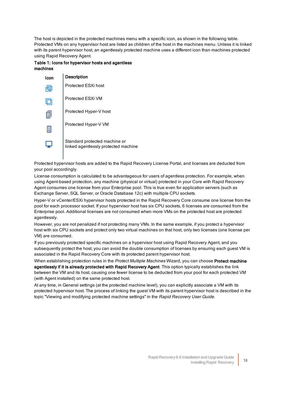The host is depicted in the protected machines menu with a specific icon, as shown in the following table. Protected VMs on any hypervisor host are listed as children of the host in the machines menu. Unless it is linked with its parent hypervisor host, an agentlessly protected machine uses a different icon than machines protected using Rapid Recovery Agent.

Table 1: Icons for hypervisor hosts and agentless machines

| Icon | <b>Description</b>                                                    |
|------|-----------------------------------------------------------------------|
|      | Protected ESXi host                                                   |
|      | Protected ESXi VM                                                     |
| H    | Protected Hyper-V host                                                |
| H    | Protected Hyper-V VM                                                  |
|      | Standard protected machine or<br>linked agentlessly protected machine |

Protected hypervisor hosts are added to the Rapid Recovery License Portal, and licenses are deducted from your pool accordingly.

License consumption is calculated to be advantageous for users of agentless protection. For example, when using Agent-based protection, any machine (physical or virtual) protected in your Core with Rapid Recovery Agent consumes one license from your Enterprise pool. This is true even for application servers (such as Exchange Server, SQL Server, or Oracle Database 12c) with multiple CPU sockets.

Hyper-V or vCenter/ESXi hypervisor hosts protected in the Rapid Recovery Core consume one license from the pool for each processor socket. If your hypervisor host has six CPU sockets, 6 licenses are consumed from the Enterprise pool. Additional licenses are not consumed when more VMs on the protected host are protected agentlessly.

However, you are not penalized if not protecting many VMs. In the same example, if you protect a hypervisor host with six CPU sockets and protect only two virtual machines on that host, only two licenses (one license per VM) are consumed.

If you previously protected specific machines on a hypervisor host using Rapid Recovery Agent, and you subsequently protect the host, you can avoid the double consumption of licenses by ensuring each guest VM is associated in the Rapid Recovery Core with its protected parent hypervisor host.

When establishing protection rules in the Protect Multiple Machines Wizard, you can choose Protect machine agentlessly if it is already protected with Rapid Recovery Agent. This option typically establishes the link between the VM and its host, causing one fewer license to be deducted from your pool for each protected VM (with Agent installed) on the same protected host.

At any time, in General settings (at the protected machine level), you can explicitly associate a VM with its protected hypervisor host. The process of linking the guest VM with its parent hypervisor host is described in the topic "Viewing and modifying protected machine settings" in the Rapid Recovery User Guide.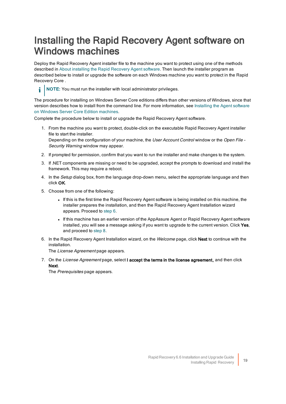### <span id="page-22-0"></span>Installing the Rapid Recovery Agent software on Windows machines

Deploy the Rapid Recovery Agent installer file to the machine you want to protect using one of the methods described in About installing the Rapid [Recovery](#page-19-0) Agent software. Then launch the installer program as described below to install or upgrade the software on each Windows machine you want to protect in the Rapid Recovery Core .



The procedure for installing on Windows Server Core editions differs than other versions of Windows, since that version describes how to install from the command line. For more information, see Installing the [Agent software](#page-24-0) on Windows Server Core Edition [machines](#page-24-0).

Complete the procedure below to install or upgrade the Rapid Recovery Agent software.

1. From the machine you want to protect, double-click on the executable Rapid Recovery Agent installer file to start the installer.

Depending on the configuration of your machine, the User Account Control window or the Open File -Security Warning window may appear.

- 2. If prompted for permission, confirm that you want to run the installer and make changes to the system.
- 3. If .NET components are missing or need to be upgraded, accept the prompts to download and install the framework. This may require a reboot.
- 4. In the Setup dialog box, from the language drop-down menu, select the appropriate language and then click OK.
- 5. Choose from one of the following:
	- <sup>l</sup> If this is the first time the Rapid Recovery Agent software is being installed on this machine, the installer prepares the installation, and then the Rapid Recovery Agent Installation wizard appears. Proceed to [step](#page-22-1) 6.
	- If this machine has an earlier version of the AppAssure Agent or Rapid Recovery Agent software installed, you will see a message asking if you want to upgrade to the current version. Click Yes, and proceed to [step](#page-23-0) 8.
- <span id="page-22-1"></span>6. In the Rapid Recovery Agent Installation wizard, on the Welcome page, click Next to continue with the installation.

The License Agreement page appears.

7. On the License Agreement page, select I accept the terms in the license agreement, and then click Next.

The Prerequisites page appears.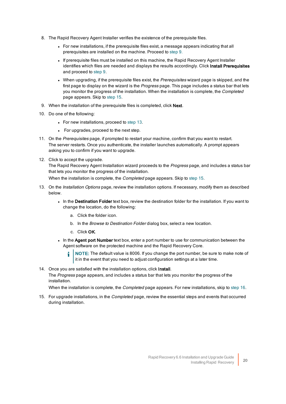- <span id="page-23-0"></span>8. The Rapid Recovery Agent Installer verifies the existence of the prerequisite files.
	- <sup>l</sup> For new installations, if the prerequisite files exist, a message appears indicating that all prerequisites are installed on the machine. Proceed to [step](#page-23-1) 9.
	- If prerequisite files must be installed on this machine, the Rapid Recovery Agent Installer identifies which files are needed and displays the results accordingly. Click Install Prerequisites and proceed to [step](#page-23-1) 9.
	- When upgrading, if the prerequisite files exist, the Prerequisites wizard page is skipped, and the first page to display on the wizard is the Progress page. This page includes a status bar that lets you monitor the progress of the installation. When the installation is complete, the Completed page appears. Skip to [step](#page-23-2) 15.
- <span id="page-23-1"></span>9. When the installation of the prerequisite files is completed, click Next.
- 10. Do one of the following:
	- For new installations, proceed to [step](#page-23-3) 13.
	- For upgrades, proceed to the next step.
- 11. On the Prerequisites page, if prompted to restart your machine, confirm that you want to restart. The server restarts. Once you authenticate, the installer launches automatically. A prompt appears asking you to confirm if you want to upgrade.
- 12. Click to accept the upgrade.

The Rapid Recovery Agent Installation wizard proceeds to the Progress page, and includes a status bar that lets you monitor the progress of the installation.

<span id="page-23-3"></span>When the installation is complete, the *Completed* page appears. Skip to step 15.

- 13. On the *Installation Options* page, review the installation options. If necessary, modify them as described below.
	- . In the Destination Folder text box, review the destination folder for the installation. If you want to change the location, do the following:
		- a. Click the folder icon.
		- b. In the Browse to Destination Folder dialog box, select a new location.
		- c. Click OK.
	- In the Agent port Number text box, enter a port number to use for communication between the Agent software on the protected machine and the Rapid Recovery Core.
		- NOTE: The default value is 8006. If you change the port number, be sure to make note of it in the event that you need to adjust configuration settings at a later time.
- 14. Once you are satisfied with the installation options, click Install. The Progress page appears, and includes a status bar that lets you monitor the progress of the installation.

<span id="page-23-2"></span>When the installation is complete, the *Completed* page appears. For new installations, skip to [step](#page-24-1) 16.

15. For upgrade installations, in the *Completed* page, review the essential steps and events that occurred during installation.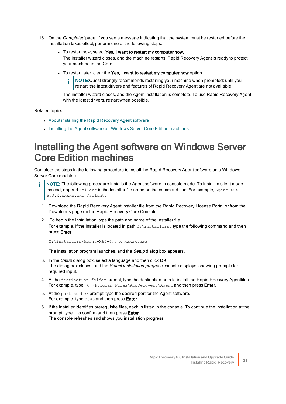- <span id="page-24-1"></span>16. On the Completed page, if you see a message indicating that the system must be restarted before the installation takes effect, perform one of the following steps:
	- To restart now, select Yes, I want to restart my computer now. The installer wizard closes, and the machine restarts. Rapid Recovery Agent is ready to protect your machine in the Core.
	- To restart later, clear the Yes, I want to restart my computer now option.
		- NOTE:Quest strongly recommends restarting your machine when prompted; until you restart, the latest drivers and features of Rapid Recovery Agent are not available.

The installer wizard closes, and the Agent installation is complete. To use Rapid Recovery Agent with the latest drivers, restart when possible.

Related topics

- About installing the Rapid [Recovery](#page-19-0) Agent software
- **.** Installing the Agent software on Windows Server Core Edition machines

#### <span id="page-24-0"></span>Installing the Agent software on Windows Server Core Edition machines

Complete the steps in the following procedure to install the Rapid Recovery Agent software on a Windows Server Core machine.

- NOTE: The following procedure installs the Agent software in console mode. To install in silent mode instead, append  $/s$ ilent to the installer file name on the command line. For example,  $Aqent-X64-$ 6.3.X.xxxxx.exe /silent.
	- 1. Download the Rapid Recovery Agent installer file from the Rapid Recovery License Portal or from the Downloads page on the Rapid Recovery Core Console.
- 2. To begin the installation, type the path and name of the installer file. For example, if the installer is located in path  $C:\infty$  the following command and then press Enter:

```
C:\installers\Agent-X64-6.3.x.xxxxx.exe
```
The installation program launches, and the Setup dialog box appears.

- 3. In the Setup dialog box, select a language and then click OK. The dialog box closes, and the Select installation progress console displays, showing prompts for required input.
- 4. At the destination folder prompt, type the destination path to install the Rapid Recovery Agentfiles. For example, type  $C:\P$ rogram Files\AppRecovery\Agent and then press Enter.
- 5. At the port number prompt, type the desired port for the Agent software. For example, type 8006 and then press Enter.
- 6. If the installer identifies prerequisite files, each is listed in the console. To continue the installation at the prompt, type 1 to confirm and then press Enter. The console refreshes and shows you installation progress.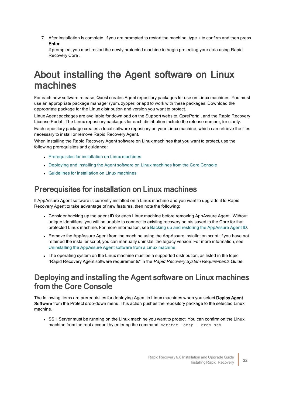7. After installation is complete, if you are prompted to restart the machine, type  $1$  to confirm and then press Enter.

If prompted, you must restart the newly protected machine to begin protecting your data using Rapid Recovery Core .

### <span id="page-25-0"></span>About installing the Agent software on Linux machines

For each new software release, Quest creates Agent repository packages for use on Linux machines. You must use an appropriate package manager (yum, zypper, or apt) to work with these packages. Download the appropriate package for the Linux distribution and version you want to protect.

Linux Agent packages are available for download on the Support website, QorePortal, and the Rapid Recovery License Portal . The Linux repository packages for each distribution include the release number, for clarity.

Each repository package creates a local software repository on your Linux machine, which can retrieve the files necessary to install or remove Rapid Recovery Agent.

When installing the Rapid Recovery Agent software on Linux machines that you want to protect, use the following prerequisites and guidance:

- Prerequisites for installation on Linux machines
- Deploying and installing the Agent software on Linux machines from the Core Console
- **.** Guidelines for installation on Linux machines

#### <span id="page-25-1"></span>Prerequisites for installation on Linux machines

If AppAssure Agent software is currently installed on a Linux machine and you want to upgrade it to Rapid Recovery Agent to take advantage of new features, then note the following:

- Consider backing up the agent ID for each Linux machine before removing AppAssure Agent . Without unique identifiers, you will be unable to connect to existing recovery points saved to the Core for that protected Linux machine. For more information, see Backing up and restoring the AppAssure Agent ID.
- Remove the AppAssure Agent from the machine using the AppAssure installation script. If you have not retained the installer script, you can manually uninstall the legacy version. For more information, see Uninstalling [the AppAssure](#page-42-0) Agent software from a Linux machine.
- The operating system on the Linux machine must be a supported distribution, as listed in the topic "Rapid Recovery Agent software requirements" in the Rapid Recovery System Requirements Guide.

#### <span id="page-25-2"></span>Deploying and installing the Agent software on Linux machines from the Core Console

The following items are prerequisites for deploying Agent to Linux machines when you select Deploy Agent Software from the Protect drop-down menu. This action pushes the repository package to the selected Linux machine.

• SSH Server must be running on the Linux machine you want to protect. You can confirm on the Linux machine from the root account by entering the command:  $netstat -antp \mid qrep \; sh.$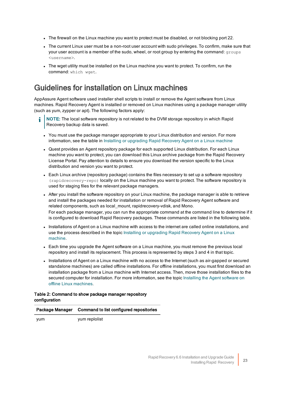- The firewall on the Linux machine you want to protect must be disabled, or not blocking port 22.
- The current Linux user must be a non-root user account with sudo privileges. To confirm, make sure that your user account is a member of the sudo, wheel, or root group by entering the command: groups <username>.
- The wget utility must be installed on the Linux machine you want to protect. To confirm, run the command: which wget.

#### <span id="page-26-0"></span>Guidelines for installation on Linux machines

AppAssure Agent software used installer shell scripts to install or remove the Agent software from Linux machines. Rapid Recovery Agent is installed or removed on Linux machines using a package manager utility (such as yum, zypper or apt). The following factors apply:

- NOTE: The local software repository is not related to the DVM storage repository in which Rapid Recovery backup data is saved.
	- You must use the package manager appropriate to your Linux distribution and version. For more information, see the table in Installing or [upgrading Rapid](#page-30-1) Recovery Agent on a Linux machine
	- Quest provides an Agent repository package for each supported Linux distribution. For each Linux machine you want to protect, you can download this Linux archive package from the Rapid Recovery License Portal. Pay attention to details to ensure you download the version specific to the Linux distribution and version you want to protect.
	- Each Linux archive (repository package) contains the files necessary to set up a software repository (rapidrecovery-repo) locally on the Linux machine you want to protect. The software repository is used for staging files for the relevant package managers.
	- After you install the software repository on your Linux machine, the package manager is able to retrieve and install the packages needed for installation or removal of Rapid Recovery Agent software and related components, such as local\_mount, rapidrecovery-vdisk, and Mono. For each package manager, you can run the appropriate command at the command line to determine if it is configured to download Rapid Recovery packages. These commands are listed in the following table.
	- Installations of Agent on a Linux machine with access to the internet are called online installations, and use the process described in the topic Installing or upgrading Rapid Recovery Agent on a Linux [machine](#page-30-1).
	- Each time you upgrade the Agent software on a Linux machine, you must remove the previous local repository and install its replacement. This process is represented by steps 3 and 4 in that topic.
	- Installations of Agent on a Linux machine with no access to the Internet (such as air-gapped or secured standalone machines) are called offline installations. For offline installations, you must first download an installation package from a Linux machine with Internet access. Then, move those installation files to the secured computer for installation. For more information, see the topic Installing the Agent software on offline Linux [machines.](#page-33-1)

#### Table 2: Command to show package manager repository configuration

#### Package Manager Command to list configured repositories

yum yum replolist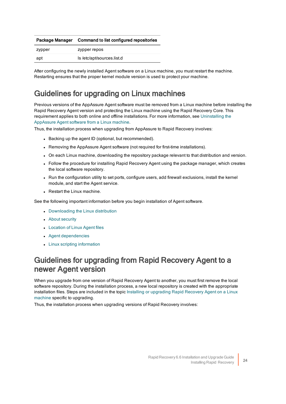| Package Manager Command to list configured repositories |
|---------------------------------------------------------|
|                                                         |

| zypper | zypper repos              |
|--------|---------------------------|
| apt    | ls/etc/apt/sources.list.d |

After configuring the newly installed Agent software on a Linux machine, you must restart the machine. Restarting ensures that the proper kernel module version is used to protect your machine.

#### <span id="page-27-0"></span>Guidelines for upgrading on Linux machines

Previous versions of the AppAssure Agent software must be removed from a Linux machine before installing the Rapid Recovery Agent version and protecting the Linux machine using the Rapid Recovery Core. This requirement applies to both online and offline installations. For more information, see  [Uninstalling](#page-42-0) the [AppAssure](#page-42-0) Agent software from a Linux machine.

Thus, the installation process when upgrading from AppAssure to Rapid Recovery involves:

- Backing up the agent ID (optional, but recommended).
- Removing the AppAssure Agent software (not required for first-time installations).
- On each Linux machine, downloading the repository package relevant to that distribution and version.
- Follow the procedure for installing Rapid Recovery Agent using the package manager, which creates the local software repository.
- Run the configuration utility to set ports, configure users, add firewall exclusions, install the kernel module, and start the Agent service.
- Restart the Linux machine.

See the following important information before you begin installation of Agent software.

- Downloading the Linux distribution
- About [security](#page-28-2)
- Location of Linux Agent files
- **Agent dependencies**
- Linux scripting information

#### <span id="page-27-1"></span>Guidelines for upgrading from Rapid Recovery Agent to a newer Agent version

When you upgrade from one version of Rapid Recovery Agent to another, you must first remove the local software repository. During the installation process, a new local repository is created with the appropriate installation files. Steps are included in the topic Installing or upgrading Rapid Recovery Agent on a Linux [machine](#page-30-1) specific to upgrading.

Thus, the installation process when upgrading versions of Rapid Recovery involves: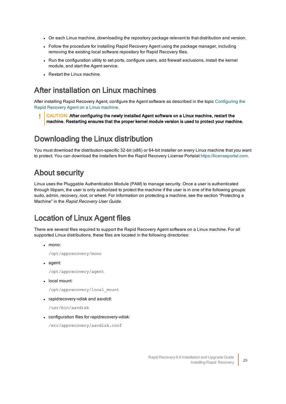- On each Linux machine, downloading the repository package relevant to that distribution and version.
- Follow the procedure for installing Rapid Recovery Agent using the package manager, including removing the existing local software repository for Rapid Recovery files.
- <sup>l</sup> Run the configuration utility to set ports, configure users, add firewall exclusions, install the kernel module, and start the Agent service.
- $\cdot$  Restart the Linux machine.

#### <span id="page-28-0"></span>After installation on Linux machines

After installing Rapid Recovery Agent, configure the Agent software as described in the topic  [Configuring](#page-35-0) the [Rapid Recovery](#page-35-0) Agent on a Linux machine.

Ī. CAUTION: After configuring the newly installed Agent software on a Linux machine, restart the machine. Restarting ensures that the proper kernel module version is used to protect your machine.

#### <span id="page-28-1"></span>Downloading the Linux distribution

You must download the distribution-specific 32-bit (x86) or 64-bit installer on every Linux machine that you want to protect. You can download the installers from the Rapid Recovery License Portalat  [https://licenseportal.com](https://licenseportal.com/).

#### <span id="page-28-2"></span>About security

Linux uses the Pluggable Authentication Module (PAM) to manage security. Once a user is authenticated through libpam, the user is only authorized to protect the machine if the user is in one of the following groups: sudo, admin, recovery, root, or wheel. For information on protecting a machine, see the section "Protecting a Machine" in the Rapid Recovery User Guide.

#### <span id="page-28-3"></span>Location of Linux Agent files

There are several files required to support the Rapid Recovery Agent software on a Linux machine. For all supported Linux distributions, these files are located in the following directories:

 $\cdot$  mono:

/opt/apprecovery/mono

• agent:

/opt/apprecovery/agent

• local mount:

/opt/apprecovery/local\_mount

• rapidrecovery-vdisk and aavdctl:

/usr/bin/aavdisk

• configuration files for rapidrecovery-vdisk:

/etc/apprecovery/aavdisk.conf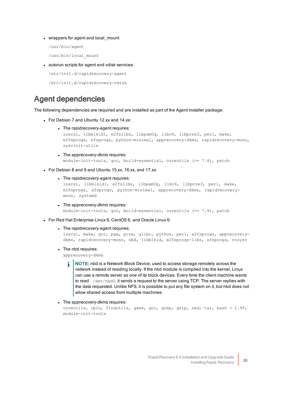- wrappers for agent and local\_mount
	- /usr/bin/agent
	- /usr/bin/local\_mount
- autorun scripts for agent and vdisk services:
	- /etc/init.d/rapidrecovery-agent
	- /etc/init.d/rapidrecovery-vdisk

#### <span id="page-29-0"></span>Agent dependencies

The following dependencies are required and are installed as part of the Agent installer package:

- For Debian 7 and Ubuntu 12.xx and 14.xx:
	- The rapidrecovery-agent requires:

```
lsscsi, libblkid1, e2fslibs, libpam0g, libc6, libpcre3, perl, make,
e2fsprogs, xfsprogs, python-minimal, apprecovery-dkms, rapidrecovery-mono,
sysvinit-utils
```
- The apprecovery-dkms requires: module-init-tools, gcc, build-essential, coreutils (>= 7.4), patch
- For Debian 8 and 9 and Ubuntu 15.xx, 16.xx, and 17.xx:
	- The rapidrecovery-agent requires:

lsscsi, libblkid1, e2fslibs, libpam0g, libc6, libpcre3, perl, make, e2fsprogs, xfsprogs, python-minimal, apprecovery-dkms, rapidrecoverymono, systemd

- The apprecovery-dkms requires: module-init-tools, gcc, build-essential, coreutils (>= 7.4), patch
- For Red Hat Enterprise Linux 6, CentOS 6, and Oracle Linux 6:
	- The rapidrecovery-agent requires:

lsscsi, make, gcc, pam, pcre, glibc, python, perl, e2fsprogs, apprecoverydkms, rapidrecovery-mono, nbd, libblkid, e2fsprogs-libs, xfsprogs, ntsysv

• The nbd requires:

apprecovery-dkms

- i. NOTE: nbd is a Network Block Device, used to access storage remotely across the network instead of residing locally. If the nbd module is compiled into the kernel, Linux can use a remote server as one of its block devices. Every time the client machine wants to read /dev/nbd0, it sends a request to the server using TCP. The server replies with the data requested. Unlike NFS, it is possible to put any file system on it, but nbd does not allow shared access from multiple machines.
- The apprecovery-dkms requires:

coreutils, cpio, findutils, gawk, gcc, grep, gzip, sed, tar, bash > 1.99, module-init-tools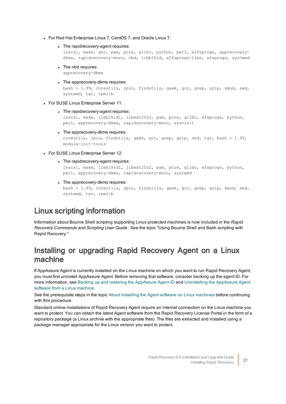- For Red Hat Enterprise Linux 7, CentOS 7, and Oracle Linux 7:
	- The rapidrecovery-agent requires:

lsscsi, make, gcc, pam, pcre, glibc, python, perl, e2fsprogs, apprecoverydkms, rapidrecovery-mono, nbd, libblkid, e2fsprogs-libs, xfsprogs, systemd

- The nbd requires: apprecovery-dkms
- The apprecovery-dkms requires:

bash > 1.99, coreutils, cpio, findutils, gawk, gcc, grep, gzip, kmod, sed, systemd, tar, rpmlib

- For SUSE Linux Enterprise Server 11:
	- The rapidrecovery-agent requires:

```
lsscsi, make, libblkid1, libext2fs2, pam, pcre, glibc, xfsprogs, python,
perl, apprecovery-dkms, rapidrecovery-mono, sysvinit
```
• The apprecovery-dkms requires:

coreutils, cpio, findutils, gawk, gcc, grep, gzip, sed, tar, bash > 1.99, module-init-tools

- For SUSE Linux Enterprise Server 12:
	- The rapidrecovery-agent requires:

lsscsi, make, libblkid1, libext2fs2, pam, pcre, glibc, xfsprogs, python, perl, apprecovery-dkms, rapidrecovery-mono, systemd

• The apprecovery-dkms requires:

bash > 1.99, coreutils, cpio, findutils, gawk, gcc, grep, gzip, kmod, sed, systemd, tar, rpmlib

#### <span id="page-30-0"></span>Linux scripting information

Information about Bourne Shell scripting supporting Linux protected machines is now included in the Rapid Recovery Commands and Scripting User Guide . See the topic "Using Bourne Shell and Bash scripting with Rapid Recovery."

#### <span id="page-30-1"></span>Installing or upgrading Rapid Recovery Agent on a Linux machine

If AppAssure Agent is currently installed on the Linux machine on which you want to run Rapid Recovery Agent, you must first uninstall AppAssure Agent. Before removing that software, consider backing up the agent ID. For more information, see Backing up and restoring the AppAssure Agent ID and Uninstalling the AppAssure Agent software from a Linux [machine.](#page-42-0)

See the prerequisite steps in the topic About installing the Agent software on Linux [machines](#page-25-0) before continuing with this procedure.

Standard online installations of Rapid Recovery Agent require an internet connection on the Linux machine you want to protect. You can obtain the latest Agent software from the Rapid Recovery License Portal in the form of a repository package (a Linux archive with the appropriate files). The files are extracted and installed using a package manager appropriate for the Linux version you want to protect.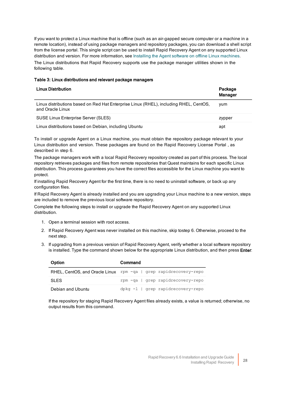If you want to protect a Linux machine that is offline (such as an air-gapped secure computer or a machine in a remote location), instead of using package managers and repository packages, you can download a shell script from the license portal. This single script can be used to install Rapid Recovery Agent on any supported Linux distribution and version. For more information, see Installing the Agent software on offline Linux machines.

The Linux distributions that Rapid Recovery supports use the package manager utilities shown in the following table.

#### Table 3: Linux distributions and relevant package managers

| <b>Linux Distribution</b>                                                                                 | Package<br><b>Manager</b> |
|-----------------------------------------------------------------------------------------------------------|---------------------------|
| Linux distributions based on Red Hat Enterprise Linux (RHEL), including RHEL, CentOS,<br>and Oracle Linux | vum                       |
| <b>SUSE Linux Enterprise Server (SLES)</b>                                                                | zypper                    |
| Linux distributions based on Debian, including Ubuntu                                                     | apt                       |

To install or upgrade Agent on a Linux machine, you must obtain the repository package relevant to your Linux distribution and version. These packages are found on the Rapid Recovery License Portal , as described in step 6.

The package managers work with a local Rapid Recovery repository created as part of this process. The local repository retrieves packages and files from remote repositories that Quest maintains for each specific Linux distribution. This process guarantees you have the correct files accessible for the Linux machine you want to protect.

If installing Rapid Recovery Agent for the first time, there is no need to uninstall software, or back up any configuration files.

If Rapid Recovery Agent is already installed and you are upgrading your Linux machine to a new version, steps are included to remove the previous local software repository.

Complete the following steps to install or upgrade the Rapid Recovery Agent on any supported Linux distribution.

- 1. Open a terminal session with root access.
- 2. If Rapid Recovery Agent was never installed on this machine, skip tostep 6. Otherwise, proceed to the next step.
- 3. If upgrading from a previous version of Rapid Recovery Agent, verify whether a local software repository is installed. Type the command shown below for the appropriate Linux distribution, and then press Enter:

| Option            | Command                                                          |
|-------------------|------------------------------------------------------------------|
|                   | RHEL, CentOS, and Oracle Linux rpm -qa   grep rapidrecovery-repo |
| <b>SLES</b>       | rpm -qa   qrep rapidrecovery-repo                                |
| Debian and Ubuntu | dpkg -1   grep rapidrecovery-repo                                |

If the repository for staging Rapid Recovery Agent files already exists, a value is returned; otherwise, no output results from this command.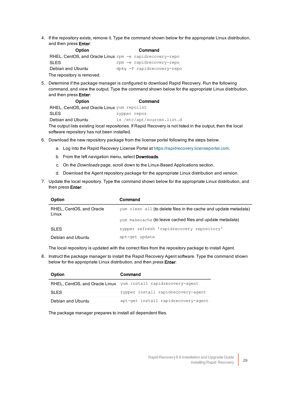4. If the repository exists, remove it. Type the command shown below for the appropriate Linux distribution, and then press Enter:

| <b>Option</b>                                            | Command                    |
|----------------------------------------------------------|----------------------------|
| RHEL, CentOS, and Oracle Linux rpm -e rapidrecovery-repo |                            |
| <b>SLES</b>                                              | rpm -e rapidrecovery-repo  |
| Debian and Ubuntu                                        | dpkg -P rapidrecovery-repo |
| The repository is removed.                               |                            |

5. Determine if the package manager is configured to download Rapid Recovery. Run the following command, and view the output. Type the command shown below for the appropriate Linux distribution, and then press Enter:

Option Command RHEL, CentOS, and Oracle Linux yum repolist SIFS zypper repos Debian and Ubuntu ls /etc/apt/sources.list.d The output lists existing local repositories. If Rapid Recovery is not listed in the output, then the local software repository has not been installed.

- 6. Download the new repository package from the license portal following the steps below.
	- a. Log into the Rapid Recovery License Portal at [https://rapidrecovery.licenseportal.com](https://rapidrecovery.licenseportal.com/).
	- b. From the left navigation menu, select Downloads.
	- c. On the Downloads page, scroll down to the Linux-Based Applications section.
	- d. Download the Agent repository package for the appropriate Linux distribution and version.
- 7. Update the local repository. Type the command shown below for the appropriate Linux distribution, and then press Enter:

| Option                            | Command                                                          |
|-----------------------------------|------------------------------------------------------------------|
| RHEL, CentOS, and Oracle<br>Linux | yum clean all (to delete files in the cache and update metadata) |
|                                   | yum makecache (to leave cached files and update metadata)        |
| <b>SLES</b>                       | zypper refresh 'rapidrecovery repository'                        |
| Debian and Ubuntu                 | apt-get update                                                   |

The local repository is updated with the correct files from the repository package to install Agent.

8. Instruct the package manager to install the Rapid Recovery Agent software. Type the command shown below for the appropriate Linux distribution, and then press Enter:

| Option                         | Command                             |
|--------------------------------|-------------------------------------|
| RHEL, CentOS, and Oracle Linux | yum install rapidrecovery-agent     |
| <b>SLES</b>                    | zypper install rapidrecovery-agent  |
| Debian and Ubuntu              | apt-get install rapidrecovery-agent |

The package manager prepares to install all dependent files.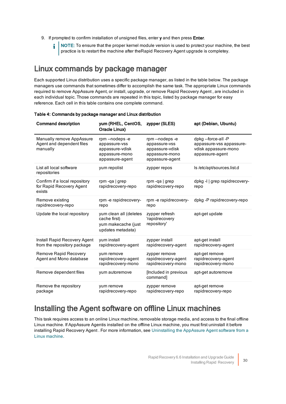- 9. If prompted to confirm installation of unsigned files, enter y and then press Enter.
	- NOTE: To ensure that the proper kernel module version is used to protect your machine, the best practice is to restart the machine after theRapid Recovery Agent upgrade is completey.

#### <span id="page-33-0"></span>Linux commands by package manager

Each supported Linux distribution uses a specific package manager, as listed in the table below. The package managers use commands that sometimes differ to accomplish the same task. The appropriate Linux commands required to remove AppAssure Agent, or install, upgrade, or remove Rapid Recovery Agent, are included in each individual topic. Those commands are repeated in this topic, listed by package manager for easy reference. Each cell in this table contains one complete command.

| <b>Command description</b>                                          | yum (RHEL, CentOS,<br>Oracle Linux)                                                    | zypper (SLES)                                                                          | apt (Debian, Ubuntu)                                                                     |
|---------------------------------------------------------------------|----------------------------------------------------------------------------------------|----------------------------------------------------------------------------------------|------------------------------------------------------------------------------------------|
| Manually remove AppAssure<br>Agent and dependent files<br>manually  | rpm--nodeps-e<br>appassure-vss<br>appassure-vdisk<br>appassure-mono<br>appassure-agent | rpm--nodeps-e<br>appassure-vss<br>appassure-vdisk<br>appassure-mono<br>appassure-agent | dpkg--force-all-P<br>appassure-vss appassure-<br>vdisk appassure-mono<br>appassure-agent |
| List all local software<br>repositories                             | yum repolist                                                                           | zypper repos                                                                           | ls/etc/apt/sources.list.d                                                                |
| Confirm if a local repository<br>for Rapid Recovery Agent<br>exists | rpm-qa $ $ grep<br>rapidrecovery-repo                                                  | rpm-qa $ $ grep<br>rapidrecovery-repo                                                  | dpkg-I   grep rapidrecovery-<br>repo                                                     |
| Remove existing<br>rapidrecovery-repo                               | rpm-e rapidrecovery-<br>repo                                                           | rpm -e rapidrecovery-<br>repo                                                          | dpkg-P rapidrecovery-repo                                                                |
| Update the local repository                                         | yum clean all (deletes<br>cache first)<br>yum makecache (just<br>updates metadata)     | zypper refresh<br>'rapidrecovery<br>repository'                                        | apt-get update                                                                           |
| Install Rapid Recovery Agent<br>from the repository package         | yum install<br>rapidrecovery-agent                                                     | zypper install<br>rapidrecovery-agent                                                  | apt-get install<br>rapidrecovery-agent                                                   |
| Remove Rapid Recovery<br>Agent and Mono database                    | yum remove<br>rapidrecovery-agent<br>rapidrecovery-mono                                | zypper remove<br>rapidrecovery-agent<br>rapidrecovery-mono                             | apt-get remove<br>rapidrecovery-agent<br>rapidrecovery-mono                              |
| Remove dependent files                                              | yum autoremove                                                                         | [Included in previous<br>command]                                                      | apt-get autoremove                                                                       |
| Remove the repository<br>package                                    | yum remove<br>rapidrecovery-repo                                                       | zypper remove<br>rapidrecovery-repo                                                    | apt-get remove<br>rapidrecovery-repo                                                     |

#### Table 4: Commands by package manager and Linux distribution

#### <span id="page-33-1"></span>Installing the Agent software on offline Linux machines

This task requires access to an online Linux machine, removable storage media, and access to the final offline Linux machine. If AppAssure Agentis installed on the offline Linux machine, you must first uninstall it before installing Rapid Recovery Agent . For more information, see Uninstalling the AppAssure Agent software from a Linux [machine](#page-42-0).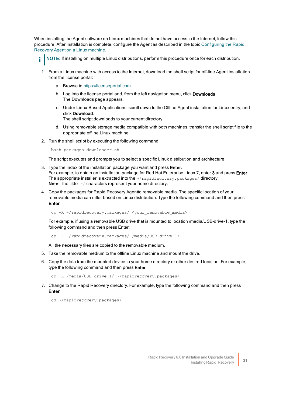When installing the Agent software on Linux machines that do not have access to the Internet, follow this procedure. After installation is complete, configure the Agent as described in the topic [Configuring](#page-35-0) the Rapid [Recovery](#page-35-0) Agent on a Linux machine.

NOTE: If installing on multiple Linux distributions, perform this procedure once for each distribution.

- 1. From a Linux machine with access to the Internet, download the shell script for off-line Agent installation from the license portal:
	- a. Browse to [https://licenseportal.com](https://licenseportal.com/).

i

- b. Log into the license portal and, from the left navigation menu, click Downloads. The Downloads page appears.
- c. Under Linux-Based Applications, scroll down to the Offline Agent installation for Linux entry, and click Download.

The shell script downloads to your current directory.

- d. Using removable storage media compatible with both machines, transfer the shell script file to the appropriate offline Linux machine.
- 2. Run the shell script by executing the following command:

bash packages-downloader.sh

The script executes and prompts you to select a specific Linux distribution and architecture.

- 3. Type the index of the installation package you want and press Enter. For example, to obtain an installation package for Red Hat Enterprise Linux 7, enter 3 and press Enter. The appropriate installer is extracted into the  $\sim$ /rapidrecovery.packages/directory. Note: The tilde  $\sim$  / characters represent your home directory.
- 4. Copy the packages for Rapid Recovery Agentto removable media. The specific location of your removable media can differ based on Linux distribution. Type the following command and then press Enter:

cp -R ~/rapidrecovery.packages/ <your\_removable\_media>

For example, if using a removable USB drive that is mounted to location /media/USB-drive-1, type the following command and then press Enter:

cp -R ~/rapidrecovery.packages/ /media/USB-drive-1/

All the necessary files are copied to the removable medium.

- 5. Take the removable medium to the offline Linux machine and mount the drive.
- 6. Copy the data from the mounted device to your home directory or other desired location. For example, type the following command and then press Enter:

cp -R /media/USB-drive-1/ ~/rapidrecovery.packages/

7. Change to the Rapid Recovery directory. For example, type the following command and then press Enter:

cd ~/rapidrecovery.packages/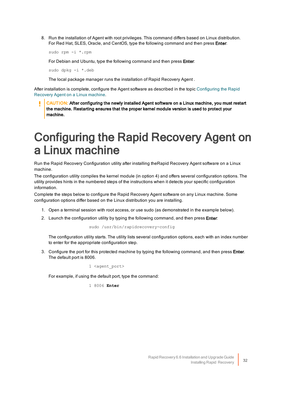8. Run the installation of Agent with root privileges. This command differs based on Linux distribution. For Red Hat, SLES, Oracle, and CentOS, type the following command and then press Enter:

sudo rpm -i \*.rpm

For Debian and Ubuntu, type the following command and then press Enter:

sudo dpkg -i \*.deb

The local package manager runs the installation of Rapid Recovery Agent .

After installation is complete, configure the Agent software as described in the topic  [Configuring](#page-35-0) the Rapid [Recovery](#page-35-0) Agent on a Linux machine.

CAUTION: After configuring the newly installed Agent software on a Linux machine, you must restart the machine. Restarting ensures that the proper kernel module version is used to protect your machine.

### <span id="page-35-0"></span>Configuring the Rapid Recovery Agent on a Linux machine

Run the Rapid Recovery Configuration utility after installing theRapid Recovery Agent software on a Linux machine.

The configuration utility compiles the kernel module (in option 4) and offers several configuration options. The utility provides hints in the numbered steps of the instructions when it detects your specific configuration information.

Complete the steps below to configure the Rapid Recovery Agent software on any Linux machine. Some configuration options differ based on the Linux distribution you are installing.

- 1. Open a terminal session with root access, or use sudo (as demonstrated in the example below).
- 2. Launch the configuration utility by typing the following command, and then press **Enter**:

sudo /usr/bin/rapidrecovery-config

<span id="page-35-1"></span>The configuration utility starts. The utility lists several configuration options, each with an index number to enter for the appropriate configuration step.

3. Configure the port for this protected machine by typing the following command, and then press Enter. The default port is 8006.

1 <agent port>

For example, if using the default port, type the command:

1 8006 **Enter**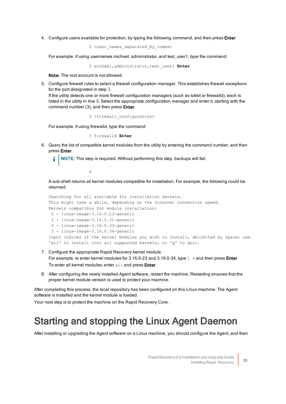4. Configure users available for protection, by typing the following command, and then press Enter:

2 <user\_names\_separated\_by\_comma>

For example, if using usernames michael, administrator, and test user1, type the command:

2 michael,administrator,test\_user1 **Enter**

Note: The root account is not allowed.

5. Configure firewall rules to select a firewall configuration manager. This establishes firewall exceptions for the port designated in step 3.

If the utility detects one or more firewall configuration managers (such as lokkit or firewalld), each is listed in the utility in line 3. Select the appropriate configuration manager and enter it, starting with the command number (3), and then press Enter:

3 <firewall\_configuration>

For example, if using firewalld, type the command:

3 firewalld **Enter**

6. Query the list of compatible kernel modules from the utility by entering the command number, and then press Enter.

NOTE: This step is required. Without performing this step, backups will fail.

4

A sub-shell returns all kernel modules compatible for installation. For example, the following could be returned:

```
Searching for all available for installation kernels.
This might take a while, depending on the Internet connection speed.
Kernels compatible for module installation:
0 - linux-image-3.16.0.23-generic
1 - linux-image-3.16.0.31-generic
 2 - linux-image-3.16.0.33-generic
 3 - linux-image-3.16.0.34-generic
Input indices of the kernel modules you wish to install, delimited by space; use
'all' to install into all supported kernels, or 'q' to quit.
```
- 7. Configure the appropriate Rapid Recovery kernel module. For example, to enter kernel modules for 3.16.0-23 and 3.16.0-34, type 1 4 and then press Enter.
	- To enter all kernel modules, enter all and press Enter.
- 8. After configuring the newly installed Agent software, restart the machine. Restarting ensures that the proper kernel module version is used to protect your machine.

After completing this process, the local repository has been configured on this Linux machine. The Agent software is installed and the kernel module is loaded.

<span id="page-36-0"></span>Your next step is to protect the machine on the Rapid Recovery Core .

### Starting and stopping the Linux Agent Daemon

After installing or upgrading the Agent software on a Linux machine, you should configure the Agent, and then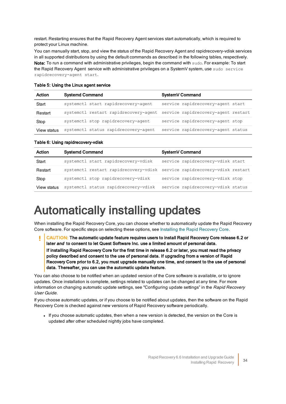restart. Restarting ensures that the Rapid Recovery Agent services start automatically, which is required to protect your Linux machine.

You can manually start, stop, and view the status of the Rapid Recovery Agent and rapidrecovery-vdisk services in all supported distributions by using the default commands as described in the following tables, respectively. Note: To run a command with administrative privileges, begin the command with sudo. For example: To start the Rapid Recovery Agent service with administrative privileges on a SystemV system, use sudo service rapidrecovery-agent start.

| Action      | <b>Systemd Command</b>                                                    | SystemV Command                    |
|-------------|---------------------------------------------------------------------------|------------------------------------|
| Start       | systemctl start rapidrecovery-agent                                       | service rapidrecovery-agent start  |
| Restart     | systemctl restart rapidrecovery-agent service rapidrecovery-agent restart |                                    |
| Stop        | systemctl stop rapidrecovery-agent                                        | service rapidrecovery-agent stop   |
| View status | systemctl status rapidrecovery-agent                                      | service rapidrecovery-agent status |

#### Table 5: Using the Linux agent service

Table 6: Using rapidrecovery-vdisk

| Action      | <b>Systemd Command</b>                                                    | SystemV Command                    |
|-------------|---------------------------------------------------------------------------|------------------------------------|
| Start       | systemctl start rapidrecovery-vdisk                                       | service rapidrecovery-vdisk start  |
| Restart     | systemctl restart rapidrecovery-vdisk service rapidrecovery-vdisk restart |                                    |
| Stop        | systemctl stop rapidrecovery-vdisk                                        | service rapidrecovery-vdisk stop   |
| View status | systemctl status rapidrecovery-vdisk                                      | service rapidrecovery-vdisk status |

## <span id="page-37-0"></span>Automatically installing updates

When installing the Rapid Recovery Core, you can choose whether to automatically update the Rapid Recovery Core software. For specific steps on selecting these options, see Installing the Rapid [Recovery](#page-11-1) Core.

CAUTION: The automatic update feature requires users to install Rapid Recovery Core release 6.2 or ı later and to consent to let Quest Software Inc. use a limited amount of personal data. If installing Rapid Recovery Core for the first time in release 6.2 or later, you must read the privacy policy described and consent to the use of personal data. If upgrading from a version of Rapid Recovery Core prior to 6.2, you must upgrade manually one time, and consent to the use of personal data. Thereafter, you can use the automatic update feature.

You can also choose to be notified when an updated version of the Core software is available, or to ignore updates. Once installation is complete, settings related to updates can be changed at any time. For more information on changing automatic update settings, see "Configuring update settings" in the Rapid Recovery User Guide.

If you choose automatic updates, or if you choose to be notified about updates, then the software on the Rapid Recovery Core is checked against new versions of Rapid Recovery software periodically.

• If you choose automatic updates, then when a new version is detected, the version on the Core is updated after other scheduled nightly jobs have completed.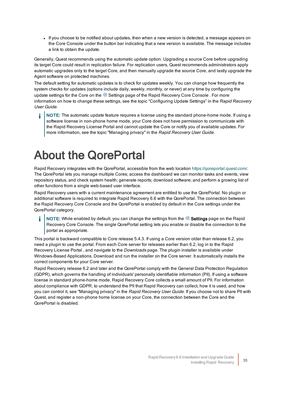If you choose to be notified about updates, then when a new version is detected, a message appears on the Core Console under the button bar indicating that a new version is available. The message includes a link to obtain the update.

Generally, Quest recommends using the automatic update option. Upgrading a source Core before upgrading its target Core could result in replication failure. For replication users, Quest recommends administrators apply automatic upgrades only to the target Core, and then manually upgrade the source Core, and lastly upgrade the Agent software on protected machines.

The default setting for automatic updates is to check for updates weekly. You can change how frequently the system checks for updates (options include daily, weekly, monthly, or never) at any time by configuring the update settings for the Core on the  $\circledR$  Settings page of the Rapid Recovery Core Console . For more information on how to change these settings, see the topic "Configuring Update Settings" in the Rapid Recovery User Guide.

i NOTE: The automatic update feature requires a license using the standard phone-home mode. If using a software license in non-phone home mode, your Core does not have permission to communicate with the Rapid Recovery License Portal and cannot update the Core or notify you of available updates. For more information, see the topic "Managing privacy" in the Rapid Recovery User Guide.

## <span id="page-38-0"></span>About the QorePortal

Rapid Recovery integrates with the QorePortal, accessible from the web location <https://qoreportal.quest.com/>. The QorePortal lets you manage multiple Cores; access the dashboard we can monitor tasks and events, view repository status, and check system health; generate reports; download software; and perform a growing list of other functions from a single web-based user interface.

Rapid Recovery users with a current maintenance agreement are entitled to use the QorePortal. No plugin or additional software is required to integrate Rapid Recovery 6.6 with the QorePortal. The connection between the Rapid Recovery Core Console and the QorePortal is enabled by default in the Core settings under the QorePortal category.

NOTE: While enabled by default, you can change the settings from the  $\circledR$  Settings page on the Rapid Recovery Core Console. The single QorePortal setting lets you enable or disable the connection to the portal as appropriate.

This portal is backward compatible to Core release 5.4.3. If using a Core version older than release 6.2, you need a plugin to use the portal. From each Core server for releases earlier than 6.2, log in to the Rapid Recovery License Portal, and navigate to the *Downloads* page. The plugin installer is available under Windows-Based Applications. Download and run the installer on the Core server. It automatically installs the correct components for your Core server.

Rapid Recovery release 6.2 and later and the QorePortal comply with the General Data Protection Regulation (GDPR), which governs the handling of individuals' personally identifiable information (PII). If using a software license in standard phone-home mode, Rapid Recovery Core collects a small amount of PII. For information about compliance with GDPR, to understand the PII that Rapid Recovery can collect, how it is used, and how you can control it, see "Managing privacy" in the Rapid Recovery User Guide. If you choose not to share PII with Quest, and register a non-phone home license on your Core, the connection between the Core and the QorePortal is disabled.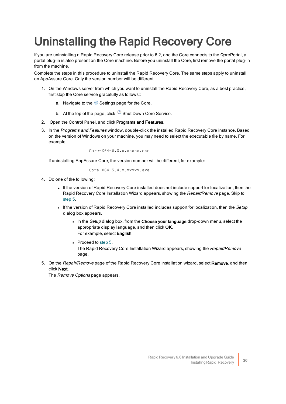# <span id="page-39-0"></span>Uninstalling the Rapid Recovery Core

If you are uninstalling a Rapid Recovery Core release prior to 6.2, and the Core connects to the QorePortal, a portal plug-in is also present on the Core machine. Before you uninstall the Core, first remove the portal plug-in from the machine.

Complete the steps in this procedure to uninstall the Rapid Recovery Core. The same steps apply to uninstall an AppAssure Core. Only the version number will be different.

- 1. On the Windows server from which you want to uninstall the Rapid Recovery Core, as a best practice, first stop the Core service gracefully as follows::
	- a. Navigate to the  $\circled{2}$  Settings page for the Core.
	- b. At the top of the page, click  $\bigcirc$  Shut Down Core Service.
- 2. Open the Control Panel, and click Programs and Features.
- 3. In the Programs and Features window, double-click the installed Rapid Recovery Core instance. Based on the version of Windows on your machine, you may need to select the executable file by name. For example:

```
Core-X64-6.0.x.xxxxx.exe
```
If uninstalling AppAssure Core, the version number will be different, for example:

Core-X64-5.4.x.xxxxx.exe

- 4. Do one of the following:
	- If the version of Rapid Recovery Core installed does not include support for localization, then the Rapid Recovery Core Installation Wizard appears, showing the Repair/Remove page. Skip to [step](#page-39-1) 5.
	- If the version of Rapid Recovery Core installed includes support for localization, then the Setup dialog box appears.
		- . In the Setup dialog box, from the Choose your language drop-down menu, select the appropriate display language, and then click OK. For example, select English.
		- $\bullet$  Proceed to [step](#page-39-1) 5. The Rapid Recovery Core Installation Wizard appears, showing the Repair/Remove page.
- <span id="page-39-1"></span>5. On the Repair/Remove page of the Rapid Recovery Core Installation wizard, select Remove, and then click Next.

The Remove Options page appears.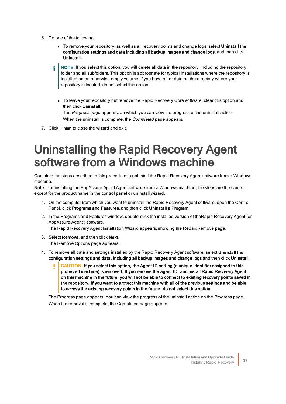- 6. Do one of the following:
	- To remove your repository, as well as all recovery points and change logs, select Uninstall the configuration settings and data including all backup images and change logs, and then click Uninstall.
	- NOTE: If you select this option, you will delete all data in the repository, including the repository folder and all subfolders. This option is appropriate for typical installations where the repository is installed on an otherwise empty volume. If you have other data on the directory where your repository is located, do not select this option.
		- To leave your repository but remove the Rapid Recovery Core software, clear this option and then click Uninstall.

The Progress page appears, on which you can view the progress of the uninstall action. When the uninstall is complete, the *Completed* page appears.

<span id="page-40-0"></span>7. Click Finish to close the wizard and exit.

## Uninstalling the Rapid Recovery Agent software from a Windows machine

Complete the steps described in this procedure to uninstall the Rapid Recovery Agent software from a Windows machine.

Note: If uninstalling the AppAssure Agent Agent software from a Windows machine, the steps are the same except for the product name in the control panel or uninstall wizard.

- 1. On the computer from which you want to uninstall the Rapid Recovery Agent software, open the Control Panel, click Programs and Features, and then click Uninstall a Program.
- 2. In the Programs and Features window, double-click the installed version of theRapid Recovery Agent (or AppAssure Agent ) software.

The Rapid Recovery Agent Installation Wizard appears, showing the Repair/Remove page.

- 3. Select **Remove**, and then click **Next**. The Remove Options page appears.
- 4. To remove all data and settings installed by the Rapid Recovery Agent software, select Uninstall the configuration settings and data, including all backup images and change logs and then click Uninstall.
	- CAUTION: If you select this option, the Agent ID setting (a unique identifier assigned to this protected machine) is removed. If you remove the agent ID, and install Rapid Recovery Agent on this machine in the future, you will not be able to connect to existing recovery points saved in the repository. If you want to protect this machine with all of the previous settings and be able to access the existing recovery points in the future, do not select this option.

The Progress page appears. You can view the progress of the uninstall action on the Progress page. When the removal is complete, the Completed page appears.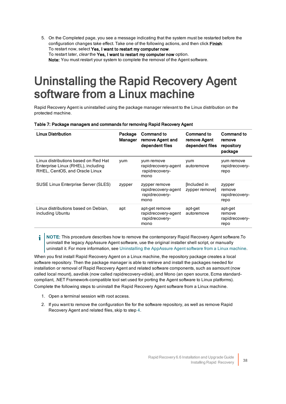5. On the Completed page, you see a message indicating that the system must be restarted before the configuration changes take effect. Take one of the following actions, and then click Finish: To restart now, select Yes, I want to restart my computer now. To restart later, clear the Yes, I want to restart my computer now option. Note: You must restart your system to complete the removal of the Agent software.

## <span id="page-41-0"></span>Uninstalling the Rapid Recovery Agent software from a Linux machine

Rapid Recovery Agent is uninstalled using the package manager relevant to the Linux distribution on the protected machine.

| Table 7: Package managers and commands for removing Rapid Recovery Agent |  |  |
|--------------------------------------------------------------------------|--|--|
|                                                                          |  |  |

| <b>Linux Distribution</b>                                                                                    | Package<br>Manager | <b>Command to</b><br>remove Agent and<br>dependent files        | Command to<br>remove Agent<br>dependent files | Command to<br>remove<br>repository<br>package |
|--------------------------------------------------------------------------------------------------------------|--------------------|-----------------------------------------------------------------|-----------------------------------------------|-----------------------------------------------|
| Linux distributions based on Red Hat<br>Enterprise Linux (RHEL), including<br>RHEL, CentOS, and Oracle Linux | yum                | yum remove<br>rapidrecovery-agent<br>rapidrecovery-<br>mono     | vum<br>autoremove                             | yum remove<br>rapidrecovery-<br>repo          |
| SUSE Linux Enterprise Server (SLES)                                                                          | zypper             | zypper remove<br>rapidrecovery-agent<br>rapidrecovery-<br>mono  | [Included in]<br>zypper remove]               | zypper<br>remove<br>rapidrecovery-<br>repo    |
| Linux distributions based on Debian,<br>including Ubuntu                                                     | apt                | apt-get remove<br>rapidrecovery-agent<br>rapidrecovery-<br>mono | apt-get<br>autoremove                         | apt-get<br>remove<br>rapidrecovery-<br>repo   |

NOTE: This procedure describes how to remove the contemporary Rapid Recovery Agent software.To f uninstall the legacy AppAssure Agent software, use the original installer shell script, or manually uninstall it. For more information, see Uninstalling the AppAssure Agent software from a Linux machine.

When you first install Rapid Recovery Agent on a Linux machine, the repository package creates a local software repository. Then the package manager is able to retrieve and install the packages needed for installation or removal of Rapid Recovery Agent and related software components, such as aamount (now called local mount), aavdisk (now called rapidrecovery-vdisk), and Mono (an open source, Ecma standardcompliant, .NET Framework-compatible tool set used for porting the Agent software to Linux platforms). Complete the following steps to uninstall the Rapid Recovery Agent software from a Linux machine.

- 1. Open a terminal session with root access.
- 2. If you want to remove the configuration file for the software repository, as well as remove Rapid Recovery Agent and related files, skip to step 4.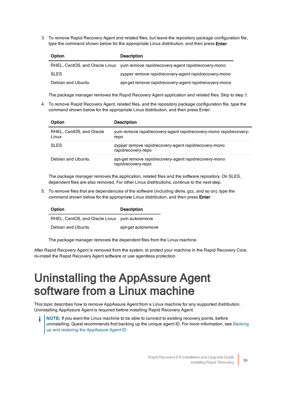3. To remove Rapid Recovery Agent and related files, but leave the repository package configuration file, type the command shown below for the appropriate Linux distribution, and then press Enter:

| Option            | <b>Description</b>                                                               |
|-------------------|----------------------------------------------------------------------------------|
|                   | RHEL, CentOS, and Oracle Linux yum remove rapidrecovery-agent rapidrecovery-mono |
| <b>SLES</b>       | zypper remove rapidrecovery-agent rapidrecovery-mono                             |
| Debian and Ubuntu | apt-get remove rapidrecovery-agent rapidrecovery-mono                            |

<span id="page-42-1"></span>The package manager removes the Rapid Recovery Agent application and related files. Skip to step 5.

4. To remove Rapid Recovery Agent, related files, and the repository package configuration file, type the command shown below for the appropriate Linux distribution, and then press Enter:

| Option                            | <b>Description</b>                                                          |
|-----------------------------------|-----------------------------------------------------------------------------|
| RHEL, CentOS, and Oracle<br>Linux | yum remove rapidrecovery-agent rapidrecovery-mono rapidrecovery-<br>repo    |
| <b>SLES</b>                       | zypper remove rapidrecovery-agent rapidrecovery-mono<br>rapidrecovery-repo  |
| Debian and Ubuntu                 | apt-get remove rapidrecovery-agent rapidrecovery-mono<br>rapidrecovery-repo |

<span id="page-42-2"></span>The package manager removes the application, related files and the software repository. On SLES. dependent files are also removed. For other Linux distributions, continue to the next step.

5. To remove files that are dependencies of the software (including dkms, gcc, and so on), type the command shown below for the appropriate Linux distribution, and then press Enter:

| Option                                        | <b>Description</b> |
|-----------------------------------------------|--------------------|
| RHEL, CentOS, and Oracle Linux yum autoremove |                    |
| Debian and Ubuntu                             | apt-get autoremove |

The package manager removes the dependent files from the Linux machine.

<span id="page-42-0"></span>After Rapid Recovery Agent is removed from the system, to protect your machine in the Rapid Recovery Core, re-install the Rapid Recovery Agent software or use agentless protection.

## Uninstalling the AppAssure Agent software from a Linux machine

This topic describes how to remove AppAssure Agent from a Linux machine for any supported distribution. Uninstalling AppAssure Agent is required before installing Rapid Recovery Agent.

NOTE: If you want the Linux machine to be able to connect to existing recovery points, before uninstalling, Quest recommends first backing up the unique agent ID. For more information, see Backing up [and restoring](#page-44-0) the AppAssure Agent ID.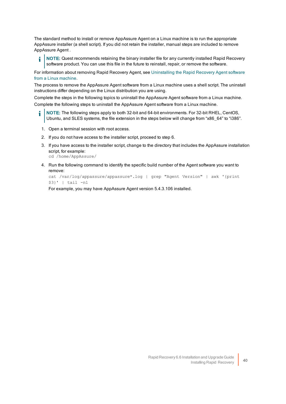The standard method to install or remove AppAssure Agent on a Linux machine is to run the appropriate AppAssure installer (a shell script). If you did not retain the installer, manual steps are included to remove AppAssure Agent .

NOTE: Quest recommends retaining the binary installer file for any currently installed Rapid Recovery i software product. You can use this file in the future to reinstall, repair, or remove the software.

For information about removing Rapid Recovery Agent, see Uninstalling the Rapid Recovery Agent software from a Linux [machine](#page-41-0).

The process to remove the AppAssure Agent software from a Linux machine uses a shell script. The uninstall instructions differ depending on the Linux distribution you are using.

Complete the steps in the following topics to uninstall the AppAssure Agent software from a Linux machine. Complete the following steps to uninstall the AppAssure Agent software from a Linux machine.

- å. NOTE: The following steps apply to both 32-bit and 64-bit environments. For 32-bit RHEL, CentOS, Ubuntu, and SLES systems, the file extension in the steps below will change from "x86\_64" to "i386".
- 1. Open a terminal session with root access.
- 2. If you do not have access to the installer script, proceed to step 6.
- 3. If you have access to the installer script, change to the directory that includes the AppAssure installation script, for example:

cd /home/AppAssure/

4. Run the following command to identify the specific build number of the Agent software you want to remove:

cat /var/log/appassure/appassure\*.log | grep "Agent Version" | awk '{print \$3}' | tail -n1

For example, you may have AppAssure Agent version 5.4.3.106 installed.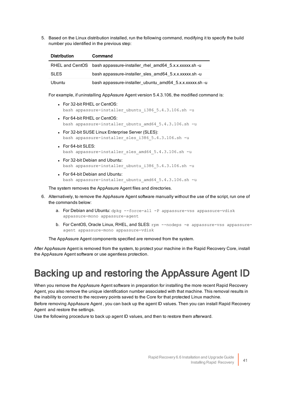5. Based on the Linux distribution installed, run the following command, modifying it to specify the build number you identified in the previous step:

| <b>Distribution</b> | Command                                                               |
|---------------------|-----------------------------------------------------------------------|
|                     | RHEL and CentOS bash appassure-installer rhel amd64 5.x.x.xxxxx.sh -u |
| <b>SLES</b>         | bash appassure-installer sles amd 64 5.x.x.xxxxx.sh -u                |
| Ubuntu              | bash appassure-installer_ubuntu_amd64_5.x.x.xxxxx.sh -u               |

For example, if uninstalling AppAssure Agent version 5.4.3.106, the modified command is:

- For 32-bit RHEL or CentOS: bash appassure-installer ubuntu i386 5.4.3.106.sh -u
- For 64-bit RHEL or CentOS: bash appassure-installer\_ubuntu\_amd64\_5.4.3.106.sh -u
- For 32-bit SUSE Linux Enterprise Server (SLES): bash appassure-installer\_sles\_i386\_5.4.3.106.sh -u
- For 64-bit SLES: bash appassure-installer sles amd64 5.4.3.106.sh -u
- For 32-bit Debian and Ubuntu: bash appassure-installer ubuntu i386 5.4.3.106.sh -u
- For 64-bit Debian and Ubuntu: bash appassure-installer ubuntu amd64 5.4.3.106.sh -u

The system removes the AppAssure Agent files and directories.

- 6. Alternatively, to remove the AppAssure Agent software manually without the use of the script, run one of the commands below:
	- a. For Debian and Ubuntu: dpkg --force-all -P appassure-vss appassure-vdisk appassure-mono appassure-agent
	- b. For CentOS, Oracle Linux, RHEL, and SLES: rpm --nodeps -e appassure-vss appassureagent appassure-mono appassure-vdisk

The AppAssure Agent components specified are removed from the system.

After AppAssure Agent is removed from the system, to protect your machine in the Rapid Recovery Core, install the AppAssure Agent software or use agentless protection.

#### <span id="page-44-0"></span>Backing up and restoring the AppAssure Agent ID

When you remove the AppAssure Agent software in preparation for installing the more recent Rapid Recovery Agent, you also remove the unique identification number associated with that machine. This removal results in the inability to connect to the recovery points saved to the Core for that protected Linux machine.

Before removing AppAssure Agent, you can back up the agent ID values. Then you can install Rapid Recovery Agent and restore the settings.

Use the following procedure to back up agent ID values, and then to restore them afterward.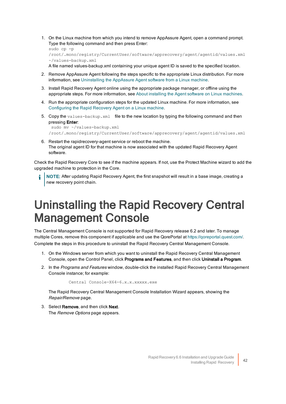1. On the Linux machine from which you intend to remove AppAssure Agent, open a command prompt. Type the following command and then press Enter:

```
sudo cp -p 
/root/.mono/registry/CurrentUser/software/apprecovery/agent/agentid/values.xml 
~/values-backup.xml
```
A file named values-backup.xml containing your unique agent ID is saved to the specified location.

- 2. Remove AppAssure Agent following the steps specific to the appropriate Linux distribution. For more information, see Uninstalling [the AppAssure](#page-42-0) Agent software from a Linux machine.
- 3. Install Rapid Recovery Agent online using the appropriate package manager, or offline using the appropriate steps. For more information, see About installing the Agent software on Linux [machines](#page-25-0).
- 4. Run the appropriate configuration steps for the updated Linux machine. For more information, see Configuring the [Rapid Recovery](#page-35-0) Agent on a Linux machine.
- 5. Copy the values-backup.xml file to the new location by typing the following command and then pressing **Enter:**

```
sudo mv ~/values-backup.xml 
/root/.mono/registry/CurrentUser/software/apprecovery/agent/agentid/values.xml
```
6. Restart the rapidrecovery-agent service or reboot the machine. The original agent ID for that machine is now associated with the updated Rapid Recovery Agent software.

Check the Rapid Recovery Core to see if the machine appears. If not, use the Protect Machine wizard to add the upgraded machine to protection in the Core.

<span id="page-45-0"></span>NOTE: After updating Rapid Recovery Agent, the first snapshot will result in a base image, creating a new recovery point chain.

## Uninstalling the Rapid Recovery Central Management Console

The Central Management Console is not supported for Rapid Recovery release 6.2 and later. To manage multiple Cores, remove this component if applicable and use the QorePortal at [https://qoreportal.quest.com/.](https://qoreportal.quest.com/) Complete the steps in this procedure to uninstall the Rapid Recovery Central Management Console.

- 1. On the Windows server from which you want to uninstall the Rapid Recovery Central Management Console, open the Control Panel, click Programs and Features, and then click Uninstall a Program.
- 2. In the Programs and Features window, double-click the installed Rapid Recovery Central Management Console instance; for example:

Central Console-X64-6.x.x.xxxxx.exe

The Rapid Recovery Central Management Console Installation Wizard appears, showing the Repair/Remove page.

3. Select Remove, and then click Next. The Remove Options page appears.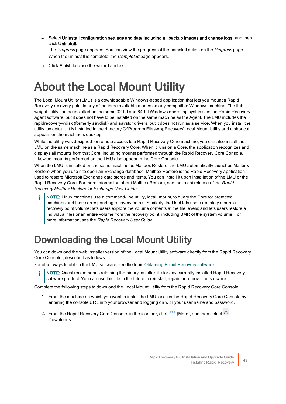4. Select Uninstall configuration settings and data including all backup images and change logs, and then click Uninstall.

The Progress page appears. You can view the progress of the uninstall action on the Progress page. When the uninstall is complete, the *Completed* page appears.

<span id="page-46-0"></span>5. Click Finish to close the wizard and exit.

# About the Local Mount Utility

The Local Mount Utility (LMU) is a downloadable Windows-based application that lets you mount a Rapid Recovery recovery point in any of the three available modes on any compatible Windows machine. The lightweight utility can be installed on the same 32-bit and 64-bit Windows operating systems as the Rapid Recovery Agent software, but it does not have to be installed on the same machine as the Agent. The LMU includes the rapidrecovery-vdisk (formerly aavdisk) and aavstor drivers, but it does not run as a service. When you install the utility, by default, it is installed in the directory C:\Program Files\AppRecovery\Local Mount Utility and a shortcut appears on the machine's desktop.

While the utility was designed for remote access to a Rapid Recovery Core machine, you can also install the LMU on the same machine as a Rapid Recovery Core. When it runs on a Core, the application recognizes and displays all mounts from that Core, including mounts performed through the Rapid Recovery Core Console. Likewise, mounts performed on the LMU also appear in the Core Console.

When the LMU is installed on the same machine as Mailbox Restore, the LMU automatically launches Mailbox Restore when you use it to open an Exchange database. Mailbox Restore is the Rapid Recovery application used to restore Microsoft Exchange data stores and items. You can install it upon installation of the LMU or the Rapid Recovery Core. For more information about Mailbox Restore, see the latest release of the Rapid Recovery Mailbox Restore for Exchange User Guide.

NOTE: Linux machines use a command-line utility, local\_mount, to query the Core for protected machines and their corresponding recovery points. Similarly, that tool lets users remotely mount a recovery point volume; lets users explore the volume contents at the file levels; and lets users restore a individual files or an entire volume from the recovery point, including BMR of the system volume. For more information, see the Rapid Recovery User Guide.

### <span id="page-46-1"></span>Downloading the Local Mount Utility

You can download the web installer version of the Local Mount Utility software directly from the Rapid Recovery Core Console, described as follows.

For other ways to obtain the LMU software, see the topic Obtaining Rapid Recovery software.

NOTE: Quest recommends retaining the binary installer file for any currently installed Rapid Recovery software product. You can use this file in the future to reinstall, repair, or remove the software.

Complete the following steps to download the Local Mount Utility from the Rapid Recovery Core Console.

- 1. From the machine on which you want to install the LMU, access the Rapid Recovery Core Console by entering the console URL into your browser and logging on with your user name and password.
- 2. From the Rapid Recovery Core Console, in the icon bar, click **<sup>888</sup>** (More), and then select **...** Downloads.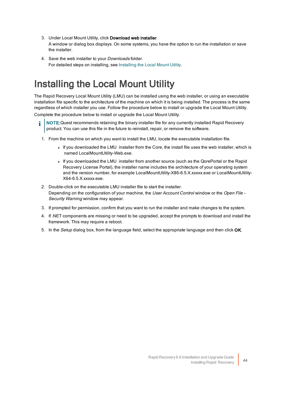- 3. Under Local Mount Utility, click Download web installer. A window or dialog box displays. On some systems, you have the option to run the installation or save the installer.
- 4. Save the web installer to your *Downloads* folder. For detailed steps on installing, see Installing the [Local Mount](#page-47-0) Utility.

### <span id="page-47-0"></span>Installing the Local Mount Utility

The Rapid Recovery Local Mount Utility (LMU) can be installed using the web installer, or using an executable installation file specific to the architecture of the machine on which it is being installed. The process is the same regardless of which installer you use. Follow the procedure below to install or upgrade the Local Mount Utility.

Complete the procedure below to install or upgrade the Local Mount Utility.

- NOTE:Quest recommends retaining the binary installer file for any currently installed Rapid Recovery product. You can use this file in the future to reinstall, repair, or remove the software.
- 1. From the machine on which you want to install the LMU, locate the executable installation file.
	- If you downloaded the LMU installer from the Core, the install file uses the web installer, which is named LocalMountUtility-Web.exe.
	- If you downloaded the LMU installer from another source (such as the QorePortal or the Rapid Recovery License Portal), the installer name includes the architecture of your operating system and the version number, for example LocalMountUtility-X86-6.5.X.xxxxx.exe or LocalMountUtility-X64-6.5.X.xxxxx.exe.
- 2. Double-click on the executable LMU installer file to start the installer. Depending on the configuration of your machine, the User Account Control window or the Open File -Security Warning window may appear.
- 3. If prompted for permission, confirm that you want to run the installer and make changes to the system.
- 4. If .NET components are missing or need to be upgraded, accept the prompts to download and install the framework. This may require a reboot.
- 5. In the Setup dialog box, from the language field, select the appropriate language and then click OK.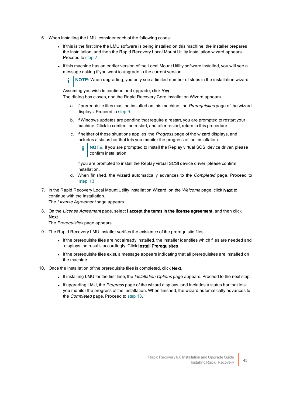- 6. When installing the LMU, consider each of the following cases:
	- If this is the first time the LMU software is being installed on this machine, the installer prepares the installation, and then the Rapid Recovery Local Mount Utility Installation wizard appears. Proceed to  [step](#page-48-0) 7.
	- If this machine has an earlier version of the Local Mount Utility software installed, you will see a message asking if you want to upgrade to the current version.

NOTE: When upgrading, you only see a limited number of steps in the installation wizard.

Assuming you wish to continue and upgrade, click Yes.

The dialog box closes, and the Rapid Recovery Core Installation Wizard appears.

- a. If prerequisite files must be installed on this machine, the *Prerequisites* page of the wizard displays. Proceed to [step](#page-49-1) 9.
- b. If Windows updates are pending that require a restart, you are prompted to restart your machine. Click to confirm the restart, and after restart, return to this procedure.
- c. If neither of these situations applies, the Progress page of the wizard displays, and includes a status bar that lets you monitor the progress of the installation.
	- NOTE: If you are prompted to install the Replay virtual SCSI device driver, please confirm installation.

If you are prompted to install the Replay virtual SCSI device driver, please confirm installation.

- d. When finished, the wizard automatically advances to the *Completed* page. Proceed to  [step](#page-49-1) 13.
- <span id="page-48-0"></span>7. In the Rapid Recovery Local Mount Utility Installation Wizard, on the Welcome page, click Next to continue with the installation.

The License Agreement page appears.

8. On the License Agreement page, select I accept the terms in the license agreement, and then click Next.

The Prerequisites page appears.

- 9. The Rapid Recovery LMU Installer verifies the existence of the prerequisite files.
	- <sup>l</sup> If the prerequisite files are not already installed, the Installer identifies which files are needed and displays the results accordingly. Click Install Prerequisites.
	- <sup>l</sup> If the prerequisite files exist, a message appears indicating that all prerequisites are installed on the machine.
- 10. Once the installation of the prerequisite files is completed, click Next.
	- If installing LMU for the first time, the *Installation Options* page appears. Proceed to the next step.
	- If upgrading LMU, the Progress page of the wizard displays, and includes a status bar that lets you monitor the progress of the installation. When finished, the wizard automatically advances to the *Completed* page. Proceed to [step](#page-49-1) 13.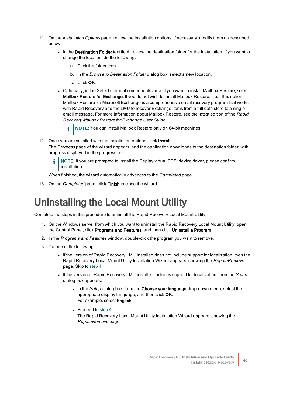- 11. On the *Installation Options* page, review the installation options. If necessary, modify them as described below.
	- In the Destination Folder text field, review the destination folder for the installation. If you want to change the location, do the following:
		- a. Click the folder icon.
		- b. In the Browse to Destination Folder dialog box, select a new location.
		- c. Click OK.
	- Optionally, in the Select optional components area, if you want to install Mailbox Restore, select Mailbox Restore for Exchange. If you do not wish to install Mailbox Restore, clear this option. Mailbox Restore for Microsoft Exchange is a comprehensive email recovery program that works with Rapid Recovery and the LMU to recover Exchange items from a full data store to a single email message. For more information about Mailbox Restore, see the latest edition of the Rapid Recovery Mailbox Restore for Exchange User Guide.
		- NOTE: You can install Mailbox Restore only on 64-bit machines. i
- 12. Once you are satisfied with the installation options, click Install.

The Progress page of the wizard appears, and the application downloads to the destination folder, with progress displayed in the progress bar.

NOTE: If you are prompted to install the Replay virtual SCSI device driver, please confirm installation.

<span id="page-49-1"></span>When finished, the wizard automatically advances to the *Completed* page.

<span id="page-49-0"></span>13. On the Completed page, click Finish to close the wizard.

### Uninstalling the Local Mount Utility

Complete the steps in this procedure to uninstall the Rapid Recovery Local Mount Utility.

- 1. On the Windows server from which you want to uninstall the Rapid Recovery Local Mount Utility, open the Control Panel, click Programs and Features, and then click Uninstall a Program.
- 2. In the Programs and Features window, double-click the program you want to remove.
- 3. Do one of the following:
	- If the version of Rapid Recovery LMU installed does not include support for localization, then the Rapid Recovery Local Mount Utility Installation Wizard appears, showing the Repair/Remove page. Skip to  [step](#page-50-0) 4.
	- If the version of Rapid Recovery LMU installed includes support for localization, then the Setup dialog box appears.
		- $\bullet$  In the Setup dialog box, from the Choose your language drop-down menu, select the appropriate display language, and then click OK. For example, select English.
		- $\bullet$  Proceed to step 4. The Rapid Recovery Local Mount Utility Installation Wizard appears, showing the Repair/Remove page.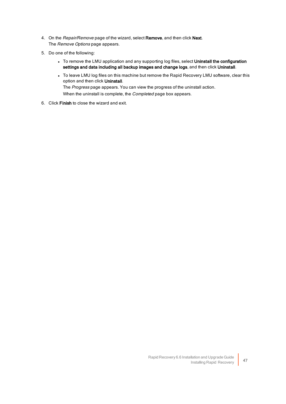- <span id="page-50-0"></span>4. On the Repair/Remove page of the wizard, select Remove, and then click Next. The Remove Options page appears.
- 5. Do one of the following:
	- To remove the LMU application and any supporting log files, select Uninstall the configuration settings and data including all backup images and change logs, and then click Uninstall.
	- To leave LMU log files on this machine but remove the Rapid Recovery LMU software, clear this option and then click Uninstall. The Progress page appears. You can view the progress of the uninstall action. When the uninstall is complete, the *Completed* page box appears.
- 6. Click Finish to close the wizard and exit.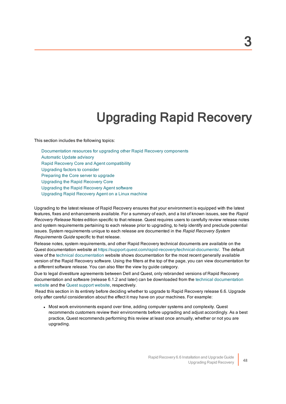# Upgrading Rapid Recovery

<span id="page-51-0"></span>This section includes the following topics:

[Documentation](#page-52-0) resources for upgrading other Rapid Recovery components [Automatic](#page-52-1) Update advisory Rapid Recovery Core and Agent [compatibility](#page-53-0) Upgrading factors [to consider](#page-53-1) [Preparing](#page-57-0) the Core server to upgrade Upgrading the [Rapid Recovery](#page-58-0) Core Upgrading the [Rapid Recovery](#page-59-0) Agent software [Upgrading](#page-61-1) Rapid Recovery Agent on a Linux machine

Upgrading to the latest release of Rapid Recovery ensures that your environment is equipped with the latest features, fixes and enhancements available. For a summary of each, and a list of known issues, see the Rapid Recovery Release Notes edition specific to that release. Quest requires users to carefully review release notes and system requirements pertaining to each release prior to upgrading, to help identify and preclude potential issues. System requirements unique to each release are documented in the Rapid Recovery System Requirements Guide specific to that release.

Release notes, system requirements, and other Rapid Recovery technical documents are available on the Quest documentation website at https://support.quest.com/rapid-recovery/technical-documents/. The default view of the technical [documentation](https://support.quest.com/rapid-recovery/technical-documents/) website shows documentation for the most recent generally available version of the Rapid Recovery software. Using the filters at the top of the page, you can view documentation for a different software release. You can also filter the view by guide category.

Due to legal divestiture agreements between Dell and Quest, only rebranded versions of Rapid Recovery [documentation](https://support.quest.com/rapid-recovery/release-notes-guides/) and software (release 6.1.2 and later) can be downloaded from the technical documentation [website](https://support.quest.com/rapid-recovery/release-notes-guides/) and the Quest support [website,](https://support.quest.com/rapid-recovery/download-new-releases) respectively.

 Read this section in its entirety before deciding whether to upgrade to Rapid Recovery release 6.6. Upgrade only after careful consideration about the effect it may have on your machines. For example:

• Most work environments expand over time, adding computer systems and complexity. Quest recommends customers review their environments before upgrading and adjust accordingly. As a best practice, Quest recommends performing this review at least once annually, whether or not you are upgrading.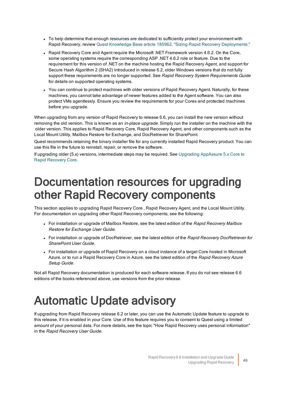- To help determine that enough resources are dedicated to sufficiently protect your environment with Rapid Recovery, review Quest Knowledge Base article 185962, "Sizing Rapid Recovery [Deployments."](https://support.quest.com/rapid-recovery/kb/185962/sizing-rapid-recovery-deployments)
- Rapid Recovery Core and Agent require the Microsoft .NET Framework version 4.6.2. On the Core, some operating systems require the corresponding ASP .NET 4.6.2 role or feature. Due to the requirement for this version of .NET on the machine hosting the Rapid Recovery Agent, and support for Secure Hash Algorithm 2 (SHA2) introduced in release 6.2, older Windows versions that do not fully support these requirements are no longer supported. See Rapid Recovery System Requirements Guide for details on supported operating systems.
- You can continue to protect machines with older versions of Rapid Recovery Agent. Naturally, for these machines, you cannot take advantage of newer features added to the Agent software. You can also protect VMs agentlessly. Ensure you review the requirements for your Cores and protected machines before you upgrade.

When upgrading from any version of Rapid Recovery to release 6.6, you can install the new version without removing the old version. This is known as an in-place upgrade. Simply run the installer on the machine with the older version. This applies to Rapid Recovery Core, Rapid Recovery Agent, and other components such as the Local Mount Utility, Mailbox Restore for Exchange, and DocRetriever for SharePoint.

Quest recommends retaining the binary installer file for any currently installed Rapid Recovery product. You can use this file in the future to reinstall, repair, or remove the software.

<span id="page-52-0"></span>If upgrading older (5.x) versions, intermediate steps may be required. See Upgrading [AppAssure](#page-55-1) 5.x Core to Rapid [Recovery](#page-55-1) Core.

## Documentation resources for upgrading other Rapid Recovery components

This section applies to upgrading Rapid Recovery Core , Rapid Recovery Agent, and the Local Mount Utility. For documentation on upgrading other Rapid Recovery components, see the following:

- For installation or upgrade of Mailbox Restore, see the latest edition of the Rapid Recovery Mailbox Restore for Exchange User Guide.
- For installation or upgrade of DocRetriever, see the latest edition of the Rapid Recovery DocRetriever for SharePoint User Guide.
- For installation or upgrade of Rapid Recovery on a cloud instance of a target Core hosted in Microsoft Azure, or to run a Rapid Recovery Core in Azure, see the latest edition of the Rapid Recovery Azure Setup Guide.

<span id="page-52-1"></span>Not all Rapid Recovery documentation is produced for each software release. If you do not see release 6.6 editions of the books referenced above, use versions from the prior release.

# Automatic Update advisory

If upgrading from Rapid Recovery release 6.2 or later, you can use the Automatic Update feature to upgrade to this release, if it is enabled in your Core. Use of this feature requires you to consent to Quest using a limited amount of your personal data. For more details, see the topic "How Rapid Recovery uses personal information" in the Rapid Recovery User Guide.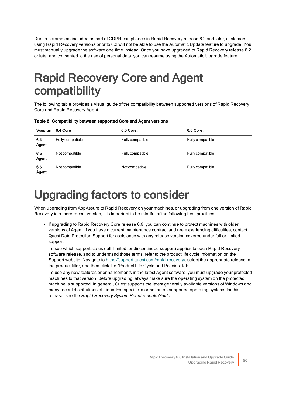Due to parameters included as part of GDPR compliance in Rapid Recovery release 6.2 and later, customers using Rapid Recovery versions prior to 6.2 will not be able to use the Automatic Update feature to upgrade. You must manually upgrade the software one time instead. Once you have upgraded to Rapid Recovery release 6.2 or later and consented to the use of personal data, you can resume using the Automatic Upgrade feature.

# <span id="page-53-0"></span>Rapid Recovery Core and Agent compatibility

The following table provides a visual guide of the compatibility between supported versions of Rapid Recovery Core and Rapid Recovery Agent.

| <b>Table of Companishing Bothcon cappoitoa Colo and Agont Toloiono</b> |                  |          |                  |  |
|------------------------------------------------------------------------|------------------|----------|------------------|--|
|                                                                        | Version 6.4 Core | 6.5 Core | 6.6 <sub>0</sub> |  |

Table 8: Compatibility between supported Core and Agent versions

| <b>Version</b> | 6.4 Core         | 6.5 Core         | 6.6 Core         |
|----------------|------------------|------------------|------------------|
| 6.4<br>Agent   | Fully compatible | Fully compatible | Fully compatible |
| 6.5<br>Agent   | Not compatible   | Fully compatible | Fully compatible |
| 6.6<br>Agent   | Not compatible   | Not compatible   | Fully compatible |

# <span id="page-53-1"></span>Upgrading factors to consider

When upgrading from AppAssure to Rapid Recovery on your machines, or upgrading from one version of Rapid Recovery to a more recent version, it is important to be mindful of the following best practices:

• If upgrading to Rapid Recovery Core release 6.6, you can continue to protect machines with older versions of Agent. If you have a current maintenance contract and are experiencing difficulties, contact Quest Data Protection Support for assistance with any release version covered under full or limited support.

To see which support status (full, limited, or discontinued support) applies to each Rapid Recovery software release, and to understand those terms, refer to the product life cycle information on the Support website. Navigate to [https://support.quest.com/rapid-recovery/,](https://support.quest.com/rapid-recovery/) select the appropriate release in the product filter, and then click the "Product Life Cycle and Policies" tab.

To use any new features or enhancements in the latest Agent software, you must upgrade your protected machines to that version. Before upgrading, always make sure the operating system on the protected machine is supported. In general, Quest supports the latest generally available versions of Windows and many recent distributions of Linux. For specific information on supported operating systems for this release, see the Rapid Recovery System Requirements Guide.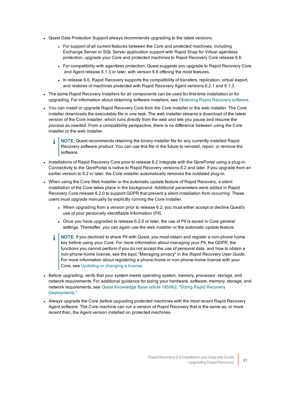- Quest Data Protection Support always recommends upgrading to the latest versions.
	- For support of all current features between the Core and protected machines, including Exchange Server or SQL Server application support with Rapid Snap for Virtual agentless protection, upgrade your Core and protected machines to Rapid Recovery Core release 6.6.
	- For compatibility with agentless protection, Quest suggests you upgrade to Rapid Recovery Core and Agent release 6.1.3 or later, with version 6.6 offering the most features.
	- In release 6.6, Rapid Recovery supports the compatibility of transfers, replication, virtual export, and restores of machines protected with Rapid Recovery Agent versions 6.2.1 and 6.1.3.
- The same Rapid Recovery installers for all components can be used for first-time installation or for upgrading. For information about obtaining software installers, see Obtaining [Rapid Recovery](#page-11-0) software.
- You can install or upgrade Rapid Recovery Core from the Core installer or the web installer. The Core installer downloads the executable file in one task. The web installer streams a download of the latest version of the Core installer, which runs directly from the web and lets you pause and resume the process as needed. From a compatibility perspective, there is no difference between using the Core installer or the web installer.
	- NOTE: Quest recommends retaining the binary installer file for any currently installed Rapid Recovery software product. You can use this file in the future to reinstall, repair, or remove the software.
- Installations of Rapid Recovery Core prior to release 6.2 integrate with the QorePortal using a plug-in. Connectivity to the QorePortal is native to Rapid Recovery versions 6.2 and later. If you upgrade from an earlier version to 6.2 or later, the Core installer automatically removes the outdated plug-in.
- When using the Core Web Installer or the automatic update feature of Rapid Recovery, a silent installation of the Core takes place in the background. Additional parameters were added in Rapid Recovery Core release 6.2.0 to support GDPR that prevent a silent installation from occurring. These users must upgrade manually by explicitly running the Core installer.
	- <sup>l</sup> When upgrading from a version prior to release 6.2, you must either accept or decline Quest's use of your personally identifiable information (PII).
	- Once you have upgraded to release 6.2.0 or later, the use of PII is saved in Core general settings. Thereafter, you can again use the web installer or the automatic update feature.
	- NOTE: If you declined to share PII with Quest, you must obtain and register a non-phone home ÷ key before using your Core. For more information about managing your PII, the GDPR, the functions you cannot perform if you do not accept the use of personal data, and how to obtain a non-phone-home license, see the topic "Managing privacy" in the Rapid Recovery User Guide. For more information about registering a phone-home or non-phone-home license with your Core, see Updating or changing a license.
- Before upgrading, verify that your system meets operating system, memory, processor, storage, and network requirements. For additional guidance for sizing your hardware, software, memory, storage, and network requirements, see Quest [Knowledge](https://support.quest.com/rapid-recovery/kb/185962/sizing-rapid-recovery-deployments) Base article 185962, "Sizing Rapid Recovery [Deployments."](https://support.quest.com/rapid-recovery/kb/185962/sizing-rapid-recovery-deployments)
- Always upgrade the Core before upgrading protected machines with the most recent Rapid Recovery Agent software. The Core machine can run a version of Rapid Recovery that is the same as, or more recent than, the Agent version installed on protected machines.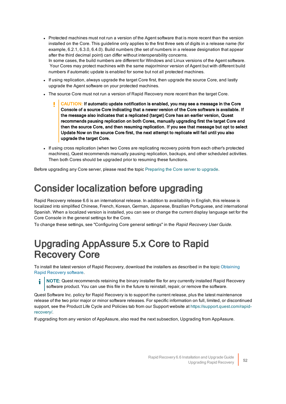- Protected machines must not run a version of the Agent software that is more recent than the version installed on the Core. This guideline only applies to the first three sets of digits in a release name (for example, 6.2.1, 6.3.0, 6.4.0). Build numbers (the set of numbers in a release designation that appear after the third decimal point) can differ without interoperability concerns. In some cases, the build numbers are different for Windows and Linux versions of the Agent software. Your Cores may protect machines with the same major/minor version of Agent but with different build numbers if automatic update is enabled for some but not all protected machines.
- If using replication, always upgrade the target Core first, then upgrade the source Core, and lastly upgrade the Agent software on your protected machines.
- The source Core must not run a version of Rapid Recovery more recent than the target Core.
	- CAUTION: If automatic update notification is enabled, you may see a message in the Core Console of a source Core indicating that a newer version of the Core software is available. If the message also indicates that a replicated (target) Core has an earlier version, Quest recommends pausing replication on both Cores, manually upgrading first the target Core and then the source Core, and then resuming replication. If you see that message but opt to select Update Now on the source Core first, the next attempt to replicate will fail until you also upgrade the target Core.
- If using cross replication (when two Cores are replicating recovery points from each other's protected machines), Quest recommends manually pausing replication, backups, and other scheduled activities. Then both Cores should be upgraded prior to resuming these functions.

<span id="page-55-0"></span>Before upgrading any Core server, please read the topic Preparing the Core server to upgrade.

### Consider localization before upgrading

Rapid Recovery release 6.6 is an international release. In addition to availability in English, this release is localized into simplified Chinese, French, Korean, German, Japanese, Brazilian Portuguese, and international Spanish. When a localized version is installed, you can see or change the current display language set for the Core Console in the general settings for the Core.

<span id="page-55-1"></span>To change these settings, see "Configuring Core general settings" in the Rapid Recovery User Guide.

### Upgrading AppAssure 5.x Core to Rapid Recovery Core

To install the latest version of Rapid Recovery, download the installers as described in the topic Obtaining Rapid Recovery software.

NOTE: Quest recommends retaining the binary installer file for any currently installed Rapid Recovery î software product. You can use this file in the future to reinstall, repair, or remove the software.

Quest Software Inc. policy for Rapid Recovery is to support the current release, plus the latest maintenance release of the two prior major or minor software releases. For specific information on full, limited, or discontinued support, see the Product Life Cycle and Policies tab from our Support website at  [https://support.quest.com/rapid](https://support.quest.com/rapid-recovery/)[recovery/.](https://support.quest.com/rapid-recovery/)

If upgrading from any version of AppAssure, also read the next subsection, Upgrading from AppAssure.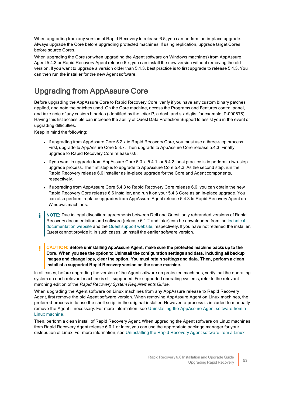When upgrading from any version of Rapid Recovery to release 6.5, you can perform an in-place upgrade. Always upgrade the Core before upgrading protected machines. If using replication, upgrade target Cores before source Cores.

When upgrading the Core (or when upgrading the Agent software on Windows machines) from AppAssure Agent 5.4.3 or Rapid Recovery Agent release 6.x, you can install the new version without removing the old version. If you want to upgrade a version older than 5.4.3, best practice is to first upgrade to release 5.4.3. You can then run the installer for the new Agent software.

#### <span id="page-56-0"></span>Upgrading from AppAssure Core

Before upgrading the AppAssure Core to Rapid Recovery Core, verify if you have any custom binary patches applied, and note the patches used. On the Core machine, access the Programs and Features control panel, and take note of any custom binaries (identified by the letter P, a dash and six digits; for example, P-000678). Having this list accessible can increase the ability of Quest Data Protection Support to assist you in the event of upgrading difficulties.

Keep in mind the following:

- If upgrading from AppAssure Core 5.2.x to Rapid Recovery Core, you must use a three-step process. First, upgrade to AppAssure Core 5.3.7. Then upgrade to AppAssure Core release 5.4.3. Finally, upgrade to Rapid Recovery Core release 6.6.
- $\bullet$  If you want to upgrade from AppAssure Core 5.3.x, 5.4.1, or 5.4.2, best practice is to perform a two-step upgrade process. The first step is to upgrade to AppAssure Core 5.4.3. As the second step, run the Rapid Recovery release 6.6 installer as in-place upgrade for the Core and Agent components, respectively.
- $\bullet$  If upgrading from AppAssure Core 5.4.3 to Rapid Recovery Core release 6.6, you can obtain the new Rapid Recovery Core release 6.6 installer, and run it on your 5.4.3 Core as an in-place upgrade. You can also perform in-place upgrades from AppAssure Agent release 5.4.3 to Rapid Recovery Agent on Windows machines.
- NOTE: Due to legal divestiture agreements between Dell and Quest, only rebranded versions of Rapid Recovery documentation and software (release 6.1.2 and later) can be downloaded from the [technical](https://support.quest.com/rapid-recovery/release-notes-guides/) [documentation](https://support.quest.com/rapid-recovery/release-notes-guides/) [website](https://support.quest.com/rapid-recovery/download-new-releases) and the Quest support website, respectively. If you have not retained the installer, Quest cannot provide it. In such cases, uninstall the earlier software version.
- ţ CAUTION: Before uninstalling AppAssure Agent, make sure the protected machine backs up to the Core. When you see the option to Uninstall the configuration settings and data, including all backup images and change logs, clear the option. You must retain settings and data. Then, perform a clean install of a supported Rapid Recovery version on the same machine.

In all cases, before upgrading the version of the Agent software on protected machines, verify that the operating system on each relevant machine is still supported. For supported operating systems, refer to the relevant matching edition of the Rapid Recovery System Requirements Guide.

When upgrading the Agent software on Linux machines from any AppAssure release to Rapid Recovery Agent, first remove the old Agent software version. When removing AppAssure Agent on Linux machines, the preferred process is to use the shell script in the original installer. However, a process is included to manually remove the Agent if necessary. For more information, see Uninstalling [the AppAssure](#page-42-0) Agent software from a Linux [machine.](#page-42-0)

Then, perform a clean install of Rapid Recovery Agent. When upgrading the Agent software on Linux machines from Rapid Recovery Agent release 6.0.1 or later, you can use the appropriate package manager for your distribution of Linux. For more information, see Uninstalling the Rapid Recovery Agent software from a Linux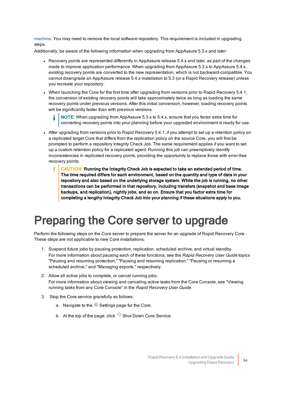[machine](#page-41-0). You may need to remove the local software repository. This requirement is included in upgrading steps.

Additionally, be aware of the following information when upgrading from AppAssure 5.3.x and later:

- Recovery points are represented differently in AppAssure release 5.4.x and later, as part of the changes made to improve application performance. When upgrading from AppAssure 5.3.x to AppAssure 5.4.x, existing recovery points are converted to the new representation, which is not backward-compatible. You cannot downgrade an AppAssure release 5.4.x installation to 5.3 (or a Rapid Recovery release) unless you recreate your repository.
- When launching the Core for the first time after upgrading from versions prior to Rapid Recovery 5.4.1, the conversion of existing recovery points will take approximately twice as long as loading the same recovery points under previous versions. After this initial conversion, however, loading recovery points will be significantly faster than with previous versions.

i NOTE: When upgrading from AppAssure 5.3.x to 5.4.x, ensure that you factor extra time for converting recovery points into your planning before your upgraded environment is ready for use.

- After upgrading from versions prior to Rapid Recovery 5.4.1, if you attempt to set up a retention policy on a replicated target Core that differs from the replication policy on the source Core, you will first be prompted to perform a repository Integrity Check Job. The same requirement applies if you want to set up a custom retention policy for a replicated agent. Running this job can preemptively identify inconsistencies in replicated recovery points, providing the opportunity to replace those with error-free recovery points.
	- CAUTION: Running the Integrity Check Job is expected to take an extended period of time. The time required differs for each environment, based on the quantity and type of data in your repository and also based on the underlying storage system. While the job is running, no other transactions can be performed in that repository, including transfers (snapshot and base image backups, and replication), nightly jobs, and so on. Ensure that you factor extra time for completing a lengthy Integrity Check Job into your planning if these situations apply to you.

# <span id="page-57-0"></span>Preparing the Core server to upgrade

Perform the following steps on the Core server to prepare the server for an upgrade of Rapid Recovery Core . These steps are not applicable to new Core installations.

- 1. Suspend future jobs by pausing protection, replication, scheduled archive, and virtual standby. For more information about pausing each of these functions, see the Rapid Recovery User Guide topics "Pausing and resuming protection," "Pausing and resuming replication," "Pausing or resuming a scheduled archive," and "Managing exports," respectively.
- 2. Allow all active jobs to complete, or cancel running jobs. For more information about viewing and canceling active tasks from the Core Console, see "Viewing running tasks from any Core Console" in the Rapid Recovery User Guide.
- 3. Stop the Core service gracefully as follows:
	- a. Navigate to the  $\circledcirc$  Settings page for the Core.
	- b. At the top of the page, click  $\overset{\leftarrow}{\cup}$  Shut Down Core Service.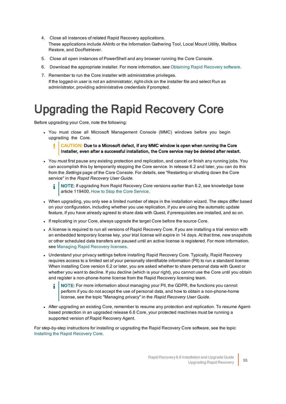- 4. Close all instances of related Rapid Recovery applications. These applications include AAInfo or the Information Gathering Tool, Local Mount Utility, Mailbox Restore, and DocRetriever.
- 5. Close all open instances of PowerShell and any browser running the Core Console.
- 6. Download the appropriate installer. For more information, see Obtaining [Rapid Recovery](#page-11-0) software.
- 7. Remember to run the Core installer with administrative privileges. If the logged-in user is not an administrator, right-click on the installer file and select Run as administrator, providing administrative credentials if prompted.

# <span id="page-58-0"></span>Upgrading the Rapid Recovery Core

Before upgrading your Core, note the following:

• You must close all Microsoft Management Console (MMC) windows before you begin upgrading the Core.

#### Ï. CAUTION: Due to a Microsoft defect, if any MMC window is open when running the Core Installer, even after a successful installation, the Core service may be deleted after restart.

• You must first pause any existing protection and replication, and cancel or finish any running jobs. You can accomplish this by temporarily stopping the Core service. In release 6.2 and later, you can do this from the Settings page of the Core Console. For details, see "Restarting or shutting down the Core service" in the Rapid Recovery User Guide.

NOTE: If upgrading from Rapid Recovery Core versions earlier than 6.2, see knowledge base article 119400, How to Stop the Core [Service.](https://support.quest.com/kb/119400/how-to-stop-the-core-service)

- <sup>l</sup> When upgrading, you only see a limited number of steps in the installation wizard. The steps differ based on your configuration, including whether you use replication, if you are using the automatic update feature, if you have already agreed to share data with Quest, if prerequisites are installed, and so on.
- If replicating in your Core, always upgrade the target Core before the source Core.
- <sup>l</sup> A license is required to run all versions of Rapid Recovery Core. If you are installing a trial version with an embedded temporary license key, your trial license will expire in 14 days. At that time, new snapshots or other scheduled data transfers are paused until an active license is registered. For more information, see [Managing](#page-62-0) Rapid Recovery licenses.
- Understand your privacy settings before installing Rapid Recovery Core. Typically, Rapid Recovery requires access to a limited set of your personally identifiable information (PII) to run a standard license. When installing Core version 6.2 or later, you are asked whether to share personal data with Quest or whether you want to decline. If you decline (which is your right), you cannot use the Core until you obtain and register a non-phone-home license from the Rapid Recovery licensing team.
	- NOTE: For more information about managing your PII, the GDPR, the functions you cannot i perform if you do not accept the use of personal data, and how to obtain a non-phone-home license, see the topic "Managing privacy" in the Rapid Recovery User Guide.
- After upgrading an existing Core, remember to resume any protection and replication. To resume Agentbased protection in an upgraded release 6.6 Core, your protected machines must be running a supported version of Rapid Recovery Agent.

For step-by-step instructions for installing or upgrading the Rapid Recovery Core software, see the topic Installing the Rapid [Recovery](#page-11-1) Core.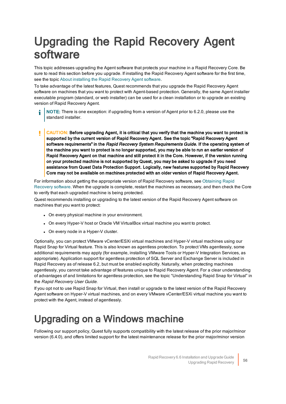# <span id="page-59-0"></span>Upgrading the Rapid Recovery Agent software

This topic addresses upgrading the Agent software that protects your machine in a Rapid Recovery Core. Be sure to read this section before you upgrade. If installing the Rapid Recovery Agent software for the first time, see the topic About installing the Rapid [Recovery](#page-19-0) Agent software.

To take advantage of the latest features, Quest recommends that you upgrade the Rapid Recovery Agent software on machines that you want to protect with Agent-based protection. Generally, the same Agent installer executable program (standard, or web installer) can be used for a clean installation or to upgrade an existing version of Rapid Recovery Agent.

- NOTE: There is one exception: if upgrading from a version of Agent prior to 6.2.0, please use the standard installer.
- ı CAUTION: Before upgrading Agent, it is critical that you verify that the machine you want to protect is supported by the current version of Rapid Recovery Agent. See the topic "Rapid Recovery Agent software requirements" in the Rapid Recovery System Requirements Guide. If the operating system of the machine you want to protect is no longer supported, you may be able to run an earlier version of Rapid Recovery Agent on that machine and still protect it in the Core. However, if the version running on your protected machine is not supported by Quest, you may be asked to upgrade if you need assistance from Quest Data Protection Support. Logically, new features supported by Rapid Recovery Core may not be available on machines protected with an older version of Rapid Recovery Agent.

For information about getting the appropriate version of Rapid Recovery software, see [Obtaining](#page-11-0) Rapid [Recovery](#page-11-0) software. When the upgrade is complete, restart the machines as necessary, and then check the Core to verify that each upgraded machine is being protected.

Quest recommends installing or upgrading to the latest version of the Rapid Recovery Agent software on machines that you want to protect:

- On every physical machine in your environment.
- On every Hyper-V host or Oracle VM VirtualBox virtual machine you want to protect.
- On every node in a Hyper-V cluster.

Optionally, you can protect VMware vCenter/ESXi virtual machines and Hyper-V virtual machines using our Rapid Snap for Virtual feature. This is also known as agentless protection. To protect VMs agentlessly, some additional requirements may apply (for example, installing VMware Tools or Hyper-V Integration Services, as appropriate). Application support for agentless protection of SQL Server and Exchange Server is included in Rapid Recovery as of release 6.2, but must be enabled explicitly. Naturally, when protecting machines agentlessly, you cannot take advantage of features unique to Rapid Recovery Agent. For a clear understanding of advantages of and limitations for agentless protection, see the topic "Understanding Rapid Snap for Virtual" in the Rapid Recovery User Guide.

If you opt not to use Rapid Snap for Virtual, then install or upgrade to the latest version of the Rapid Recovery Agent software on Hyper-V virtual machines, and on every VMware vCenter/ESXi virtual machine you want to protect with the Agent, instead of agentlessly.

### <span id="page-59-1"></span>Upgrading on a Windows machine

Following our support policy, Quest fully supports compatibility with the latest release of the prior major/minor version (6.4.0), and offers limited support for the latest maintenance release for the prior major/minor version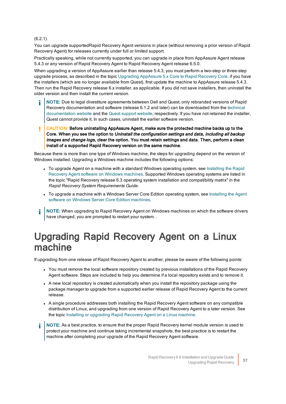#### (6.2.1).

You can upgrade supportedRapid Recovery Agent versions in place (without removing a prior version of Rapid Recovery Agent) for releases currently under full or limited support.

Practically speaking, while not currently supported, you can upgrade in place from AppAssure Agent release 5.4.3 or any version of Rapid Recovery Agent to Rapid Recovery Agent release 6.5.0.

When upgrading a version of AppAssure earlier than release 5.4.3, you must perform a two-step or three-step upgrade process, as described in the topic Upgrading [AppAssure](#page-55-1) 5.x Core to Rapid Recovery Core. if you have the installers (which are no longer available from Quest), first update the machine to AppAssure release 5.4.3. Then run the Rapid Recovery release 6.x installer, as applicable. If you did not save installers, then uninstall the older version and then install the current version.

- i NOTE: Due to legal divestiture agreements between Dell and Quest, only rebranded versions of Rapid Recovery documentation and software (release 6.1.2 and later) can be downloaded from the [technical](https://support.quest.com/rapid-recovery/release-notes-guides/) [documentation](https://support.quest.com/rapid-recovery/release-notes-guides/) [website](https://support.quest.com/rapid-recovery/download-new-releases) and the Quest support website, respectively. If you have not retained the installer, Quest cannot provide it. In such cases, uninstall the earlier software version.
- ţ CAUTION: Before uninstalling AppAssure Agent, make sure the protected machine backs up to the Core. When you see the option to Uninstall the configuration settings and data, including all backup images and change logs, clear the option. You must retain settings and data. Then, perform a clean install of a supported Rapid Recovery version on the same machine.

Because there is more than one type of Windows machine, the steps for upgrading depend on the version of Windows installed. Upgrading a Windows machine includes the following options:

- To upgrade Agent on a machine with a standard Windows operating system, see Installing the Rapid Recovery Agent software on Windows [machines.](#page-22-0) Supported Windows operating systems are listed in the topic "Rapid Recovery release 6.3 operating system installation and compatibility matrix" in the Rapid Recovery System Requirements Guide.
- To upgrade a machine with a Windows Server Core Edition operating system, see [Installing](#page-24-0) the Agent software on Windows Server Core Edition [machines.](#page-24-0)
- NOTE: When upgrading to Rapid Recovery Agent on Windows machines on which the software drivers i have changed, you are prompted to restart your system. .

### <span id="page-60-0"></span>Upgrading Rapid Recovery Agent on a Linux machine

If upgrading from one release of Rapid Recovery Agent to another, please be aware of the following points:

- You must remove the local software repository created by previous installations of the Rapid Recovery Agent software. Steps are included to help you determine if a local repository exists and to remove it.
- A new local repository is created automatically when you install the repository package using the package manager to upgrade from a supported earlier release of Rapid Recovery Agent to the current release.
- A single procedure addresses both installing the Rapid Recovery Agent software on any compatible distribution of Linux, and upgrading from one version of Rapid Recovery Agent to a later version. See the topic Installing or [upgrading Rapid](#page-30-1) Recovery Agent on a Linux machine.
- NOTE: As a best practice, to ensure that the proper Rapid Recovery kernel module version is used to i protect your machine and continue taking incremental snapshots, the best practice is to restart the machine after completing your upgrade of the Rapid Recovery Agent software.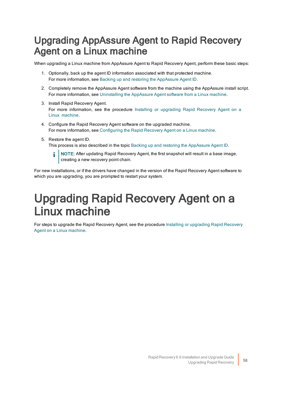### <span id="page-61-0"></span>Upgrading AppAssure Agent to Rapid Recovery Agent on a Linux machine

When upgrading a Linux machine from AppAssure Agent to Rapid Recovery Agent, perform these basic steps:

- 1. Optionally, back up the agent ID information associated with that protected machine. For more information, see Backing up and restoring the AppAssure Agent ID.
- 2. Completely remove the AppAssure Agent software from the machine using the AppAssure install script. For more information, see Uninstalling [the AppAssure](#page-42-0) Agent software from a Linux machine.
- 3. Install Rapid Recovery Agent. For more information, see the procedure Installing or upgrading Rapid Recovery Agent on a Linux [machine.](#page-30-1)
- 4. Configure the Rapid Recovery Agent software on the upgraded machine. For more information, see Configuring the [Rapid Recovery](#page-35-0) Agent on a Linux machine.
- 5. Restore the agent ID.

This process is also described in the topic Backing up and restoring the AppAssure Agent ID.

NOTE: After updating Rapid Recovery Agent, the first snapshot will result in a base image, creating a new recovery point chain.

<span id="page-61-1"></span>For new installations, or if the drivers have changed in the version of the Rapid Recovery Agent software to which you are upgrading, you are prompted to restart your system.

## Upgrading Rapid Recovery Agent on a Linux machine

For steps to upgrade the Rapid Recovery Agent, see the procedure Installing or upgrading Rapid Recovery Agent on a Linux [machine.](#page-30-1)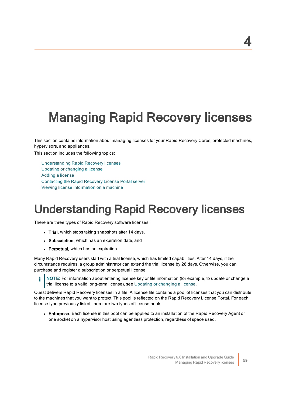# <span id="page-62-0"></span>Managing Rapid Recovery licenses

This section contains information about managing licenses for your Rapid Recovery Cores, protected machines, hypervisors, and appliances.

This section includes the following topics:

[Understanding](#page-62-1) Rapid Recovery licenses Updating or [changing](#page-65-0) a license [Adding](#page-66-0) a license Contacting the [Rapid Recovery](#page-67-0) License Portal server Viewing license [information](#page-67-1) on a machine

# <span id="page-62-1"></span>Understanding Rapid Recovery licenses

There are three types of Rapid Recovery software licenses:

- Trial, which stops taking snapshots after 14 days,
- Subscription, which has an expiration date, and
- Perpetual, which has no expiration.

Many Rapid Recovery users start with a trial license, which has limited capabilities. After 14 days, if the circumstance requires, a group administrator can extend the trial license by 28 days. Otherwise, you can purchase and register a subscription or perpetual license.

i NOTE: For information about entering license key or file information (for example, to update or change a trial license to a valid long-term license), see Updating or [changing](#page-65-0) a license.

Quest delivers Rapid Recovery licenses in a file. A license file contains a pool of licenses that you can distribute to the machines that you want to protect. This pool is reflected on the Rapid Recovery License Portal. For each license type previously listed, there are two types of license pools:

• Enterprise. Each license in this pool can be applied to an installation of the Rapid Recovery Agent or one socket on a hypervisor host using agentless protection, regardless of space used.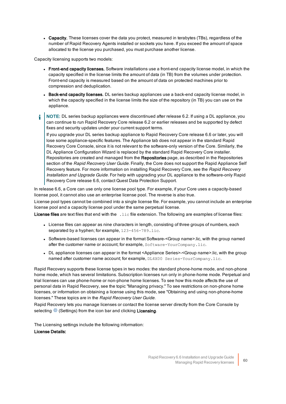• Capacity. These licenses cover the data you protect, measured in terabytes (TBs), regardless of the number of Rapid Recovery Agents installed or sockets you have. If you exceed the amount of space allocated to the license you purchased, you must purchase another license.

Capacity licensing supports two models:

- Front-end capacity licenses. Software installations use a front-end capacity license model, in which the capacity specified in the license limits the amount of data (in TB) from the volumes under protection. Front-end capacity is measured based on the amount of data on protected machines prior to compression and deduplication.
- Back-end capacity licenses. DL series backup appliances use a back-end capacity license model, in which the capacity specified in the license limits the size of the repository (in TB) you can use on the appliance.
- NOTE: DL series backup appliances were discontinued after release 6.2. If using a DL appliance, you ÷ can continue to run Rapid Recovery Core release 6.2 or earlier releases and be supported by defect fixes and security updates under your current support terms.

If you upgrade your DL series backup appliance to Rapid Recovery Core release 6.6 or later, you will lose some appliance-specific features. The Appliance tab does not appear in the standard Rapid Recovery Core Console, since it is not relevant to the software-only version of the Core. Similarly, the DL Appliance Configuration Wizard is replaced by the standard Rapid Recovery Core installer. Repositories are created and managed from the Repositories page, as described in the Repositories section of the Rapid Recovery User Guide. Finally, the Core does not support the Rapid Appliance Self Recovery feature. For more information on installing Rapid Recovery Core, see the Rapid Recovery Installation and Upgrade Guide. For help with upgrading your DL appliance to the software-only Rapid Recovery Core release 6.6, contact Quest Data Protection Support.

In release 6.6, a Core can use only one license pool type. For example, if your Core uses a capacity-based license pool, it cannot also use an enterprise license pool. The reverse is also true.

License pool types cannot be combined into a single license file. For example, you cannot include an enterprise license pool and a capacity license pool under the same perpetual license.

License files are text files that end with the . Lic file extension. The following are examples of license files:

- License files can appear as nine characters in length, consisting of three groups of numbers, each separated by a hyphen; for example, 123-456-789.lic.
- <sup>l</sup> Software-based licenses can appear in the format Software-<Group name>.lic, with the group named after the customer name or account; for example, Software-YourCompany.lic.
- <sup>l</sup> DL appliance licenses can appear in the format <Appliance Series>-<Group name>.lic, with the group named after customer name account; for example,  $DL4X00$  Series-YourCompany.lic.

Rapid Recovery supports these license types in two modes: the standard phone-home mode, and non-phone home mode, which has several limitations. Subscription licenses run only in phone-home mode. Perpetual and trial licenses can use phone-home or non-phone home licenses. To see how this mode affects the use of personal data in Rapid Recovery, see the topic "Managing privacy." To see restrictions on non-phone home licenses, or information on obtaining a license using this mode, see "Obtaining and using non-phone-home licenses." These topics are in the Rapid Recovery User Guide.

Rapid Recovery lets you manage licenses or contact the license server directly from the Core Console by selecting  $\circled{8}$  (Settings) from the icon bar and clicking **Licensing**.

The Licensing settings include the following information: License Details: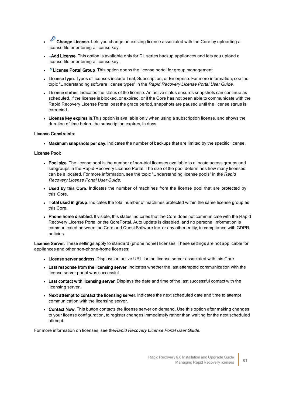- **Change License**. Lets you change an existing license associated with the Core by uploading a license file or entering a license key.
- + Add License. This option is available only for DL series backup appliances and lets you upload a license file or entering a license key.
- $\cdot$   $\Box$  License Portal Group. This option opens the license portal for group management.
- License type. Types of licenses include Trial, Subscription, or Enterprise. For more information, see the topic "Understanding software license types" in the Rapid Recovery License Portal User Guide.
- License status. Indicates the status of the license. An active status ensures snapshots can continue as scheduled. If the license is blocked, or expired, or if the Core has not been able to communicate with the Rapid Recovery License Portal past the grace period, snapshots are paused until the license status is corrected.
- License key expires in. This option is available only when using a subscription license, and shows the duration of time before the subscription expires, in days.

#### License Constraints:

• Maximum snapshots per day. Indicates the number of backups that are limited by the specific license.

#### License Pool:

- Pool size. The license pool is the number of non-trial licenses available to allocate across groups and subgroups in the Rapid Recovery License Portal. The size of the pool determines how many licenses can be allocated. For more information, see the topic "Understanding license pools" in the Rapid Recovery License Portal User Guide.
- Used by this Core. Indicates the number of machines from the license pool that are protected by this Core.
- Total used in group. Indicates the total number of machines protected within the same license group as this Core.
- Phone home disabled. If visible, this status indicates that the Core does not communicate with the Rapid Recovery License Portal or the QorePortal. Auto update is disabled, and no personal information is communicated between the Core and Quest Software Inc. or any other entity, in compliance with GDPR policies.

License Server. These settings apply to standard (phone home) licenses. These settings are not applicable for appliances and other non-phone-home licenses:

- License server address. Displays an active URL for the license server associated with this Core.
- Last response from the licensing server. Indicates whether the last attempted communication with the license server portal was successful.
- Last contact with licensing server. Displays the date and time of the last successful contact with the licensing server.
- . Next attempt to contact the licensing server. Indicates the next scheduled date and time to attempt communication with the licensing server.
- Contact Now. This button contacts the license server on demand. Use this option after making changes to your license configuration, to register changes immediately rather than waiting for the next scheduled attempt.

For more information on licenses, see theRapid Recovery License Portal User Guide.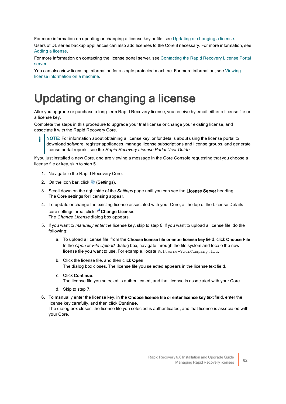For more information on updating or changing a license key or file, see Updating or [changing](#page-65-0) a license.

Users of DL series backup appliances can also add licenses to the Core if necessary. For more information, see Adding a [license.](#page-66-0)

For more information on contacting the license portal server, see Contacting the Rapid Recovery License Portal [server.](#page-67-0)

<span id="page-65-0"></span>You can also view licensing information for a single protected machine. For more information, see [Viewing](#page-67-1) license [information](#page-67-1) on a machine.

## Updating or changing a license

After you upgrade or purchase a long-term Rapid Recovery license, you receive by email either a license file or a license key.

Complete the steps in this procedure to upgrade your trial license or change your existing license, and associate it with the Rapid Recovery Core.

NOTE: For information about obtaining a license key, or for details about using the license portal to download software, register appliances, manage license subscriptions and license groups, and generate license portal reports, see the Rapid Recovery License Portal User Guide.

If you just installed a new Core, and are viewing a message in the Core Console requesting that you choose a license file or key, skip to step 5.

- 1. Navigate to the Rapid Recovery Core.
- 2. On the icon bar, click  $\circled{a}$  (Settings).
- 3. Scroll down on the right side of the Settings page until you can see the License Server heading. The Core settings for licensing appear.
- 4. To update or change the existing license associated with your Core, at the top of the License Details core settings area, click **Change License**. The *Change License* dialog box appears.
- 5. If you want to manually enter the license key, skip to step 6. If you want to upload a license file, do the following:
	- a. To upload a license file, from the Choose license file or enter license key field, click Choose File. In the Open or File Upload dialog box, navigate through the file system and locate the new license file you want to use. For example, locate Software-YourCompany.lic.
	- b. Click the license file, and then click Open. The dialog box closes. The license file you selected appears in the license text field.
	- c. Click Continue.

The license file you selected is authenticated, and that license is associated with your Core.

- d. Skip to step 7.
- 6. To manually enter the license key, in the Choose license file or enter license key text field, enter the license key carefully, and then click Continue. The dialog box closes, the license file you selected is authenticated, and that license is associated with your Core.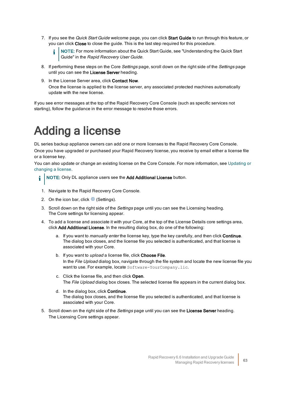7. If you see the Quick Start Guide welcome page, you can click Start Guide to run through this feature, or you can click Close to close the guide. This is the last step required for this procedure.

NOTE: For more information about the Quick Start Guide, see "Understanding the Quick Start Guide" in the Rapid Recovery User Guide.

- 8. If performing these steps on the Core Settings page, scroll down on the right side of the Settings page until you can see the License Server heading.
- 9. In the License Server area, click Contact Now.

Once the license is applied to the license server, any associated protected machines automatically update with the new license.

<span id="page-66-0"></span>If you see error messages at the top of the Rapid Recovery Core Console (such as specific services not starting), follow the guidance in the error message to resolve those errors.

## Adding a license

DL series backup appliance owners can add one or more licenses to the Rapid Recovery Core Console. Once you have upgraded or purchased your Rapid Recovery license, you receive by email either a license file or a license key.

You can also update or change an existing license on the Core Console. For more information, see  [Updating](#page-65-0) or [changing](#page-65-0) a license.

- NOTE: Only DL appliance users see the Add Additional License button. i
- 1. Navigate to the Rapid Recovery Core Console.
- 2. On the icon bar, click  $\circled{8}$  (Settings).
- 3. Scroll down on the right side of the *Settings* page until you can see the Licensing heading. The Core settings for licensing appear.
- 4. To add a license and associate it with your Core, at the top of the License Details core settings area, click Add Additional License. In the resulting dialog box, do one of the following:
	- a. If you want to manually enter the license key, type the key carefully, and then click Continue. The dialog box closes, and the license file you selected is authenticated, and that license is associated with your Core.
	- b. If you want to *upload* a license file, click **Choose File**. In the File Upload dialog box, navigate through the file system and locate the new license file you want to use. For example, locate Software-YourCompany.lic.
	- c. Click the license file, and then click Open. The File Upload dialog box closes. The selected license file appears in the current dialog box.
	- d. In the dialog box, click **Continue**. The dialog box closes, and the license file you selected is authenticated, and that license is associated with your Core.
- 5. Scroll down on the right side of the Settings page until you can see the License Server heading. The Licensing Core settings appear.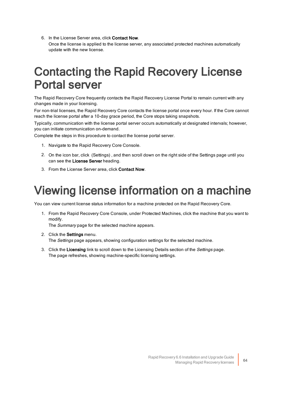6. In the License Server area, click Contact Now. Once the license is applied to the license server, any associated protected machines automatically update with the new license.

## <span id="page-67-0"></span>**Contacting the Rapid Recovery License** Portal server

The Rapid Recovery Core frequently contacts the Rapid Recovery License Portal to remain current with any changes made in your licensing.

For non-trial licenses, the Rapid Recovery Core contacts the license portal once every hour. If the Core cannot reach the license portal after a 10-day grace period, the Core stops taking snapshots.

Typically, communication with the license portal server occurs automatically at designated intervals; however, you can initiate communication on-demand.

Complete the steps in this procedure to contact the license portal server.

- 1. Navigate to the Rapid Recovery Core Console.
- 2. On the icon bar, click (Settings) , and then scroll down on the right side of the Settings page until you can see the License Server heading.
- <span id="page-67-1"></span>3. From the License Server area, click Contact Now.

## Viewing license information on a machine

You can view current license status information for a machine protected on the Rapid Recovery Core.

1. From the Rapid Recovery Core Console, under Protected Machines, click the machine that you want to modify.

The Summary page for the selected machine appears.

- 2. Click the **Settings** menu. The Settings page appears, showing configuration settings for the selected machine.
- 3. Click the Licensing link to scroll down to the Licensing Details section of the Settings page. The page refreshes, showing machine-specific licensing settings.